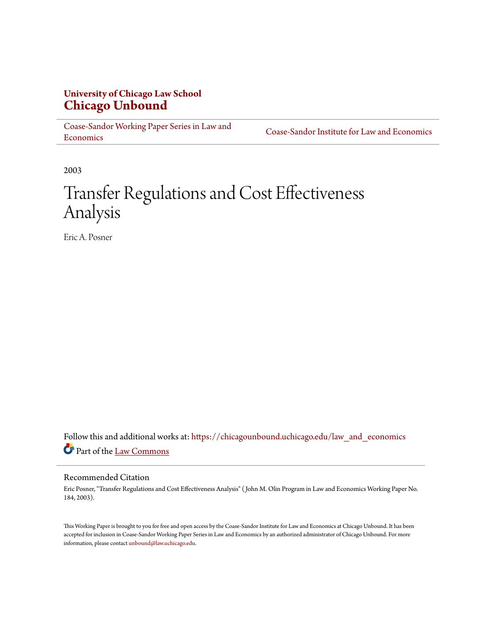# **University of Chicago Law School [Chicago Unbound](https://chicagounbound.uchicago.edu?utm_source=chicagounbound.uchicago.edu%2Flaw_and_economics%2F594&utm_medium=PDF&utm_campaign=PDFCoverPages)**

[Coase-Sandor Working Paper Series in Law and](https://chicagounbound.uchicago.edu/law_and_economics?utm_source=chicagounbound.uchicago.edu%2Flaw_and_economics%2F594&utm_medium=PDF&utm_campaign=PDFCoverPages) [Economics](https://chicagounbound.uchicago.edu/law_and_economics?utm_source=chicagounbound.uchicago.edu%2Flaw_and_economics%2F594&utm_medium=PDF&utm_campaign=PDFCoverPages)

[Coase-Sandor Institute for Law and Economics](https://chicagounbound.uchicago.edu/coase_sandor_institute?utm_source=chicagounbound.uchicago.edu%2Flaw_and_economics%2F594&utm_medium=PDF&utm_campaign=PDFCoverPages)

2003

# Transfer Regulations and Cost Effectiveness Analysis

Eric A. Posner

Follow this and additional works at: [https://chicagounbound.uchicago.edu/law\\_and\\_economics](https://chicagounbound.uchicago.edu/law_and_economics?utm_source=chicagounbound.uchicago.edu%2Flaw_and_economics%2F594&utm_medium=PDF&utm_campaign=PDFCoverPages) Part of the [Law Commons](http://network.bepress.com/hgg/discipline/578?utm_source=chicagounbound.uchicago.edu%2Flaw_and_economics%2F594&utm_medium=PDF&utm_campaign=PDFCoverPages)

# Recommended Citation

Eric Posner, "Transfer Regulations and Cost Effectiveness Analysis" ( John M. Olin Program in Law and Economics Working Paper No. 184, 2003).

This Working Paper is brought to you for free and open access by the Coase-Sandor Institute for Law and Economics at Chicago Unbound. It has been accepted for inclusion in Coase-Sandor Working Paper Series in Law and Economics by an authorized administrator of Chicago Unbound. For more information, please contact [unbound@law.uchicago.edu.](mailto:unbound@law.uchicago.edu)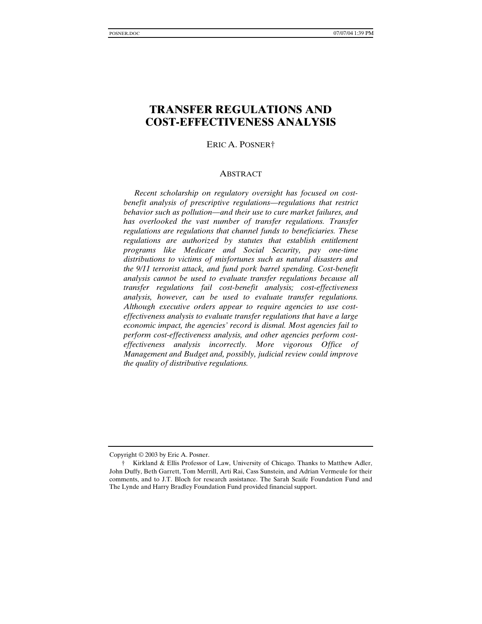# **TRANSFER REGULATIONS AND COST-EFFECTIVENESS ANALYSIS**

ERIC A. POSNER†

#### **ABSTRACT**

*Recent scholarship on regulatory oversight has focused on costbenefit analysis of prescriptive regulations—regulations that restrict behavior such as pollution—and their use to cure market failures, and has overlooked the vast number of transfer regulations. Transfer regulations are regulations that channel funds to beneficiaries. These regulations are authorized by statutes that establish entitlement programs like Medicare and Social Security, pay one-time distributions to victims of misfortunes such as natural disasters and the 9/11 terrorist attack, and fund pork barrel spending. Cost-benefit analysis cannot be used to evaluate transfer regulations because all transfer regulations fail cost-benefit analysis; cost-effectiveness analysis, however, can be used to evaluate transfer regulations. Although executive orders appear to require agencies to use costeffectiveness analysis to evaluate transfer regulations that have a large economic impact, the agencies' record is dismal. Most agencies fail to perform cost-effectiveness analysis, and other agencies perform costeffectiveness analysis incorrectly. More vigorous Office of Management and Budget and, possibly, judicial review could improve the quality of distributive regulations.*

Copyright © 2003 by Eric A. Posner.

<sup>†</sup> Kirkland & Ellis Professor of Law, University of Chicago. Thanks to Matthew Adler, John Duffy, Beth Garrett, Tom Merrill, Arti Rai, Cass Sunstein, and Adrian Vermeule for their comments, and to J.T. Bloch for research assistance. The Sarah Scaife Foundation Fund and The Lynde and Harry Bradley Foundation Fund provided financial support.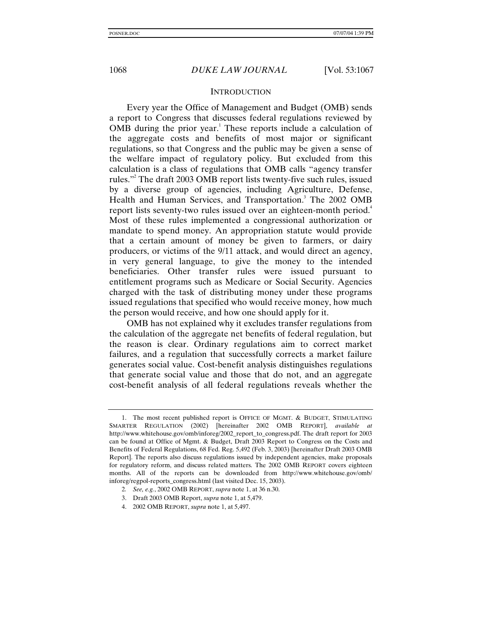## **INTRODUCTION**

Every year the Office of Management and Budget (OMB) sends a report to Congress that discusses federal regulations reviewed by OMB during the prior year.<sup>1</sup> These reports include a calculation of the aggregate costs and benefits of most major or significant regulations, so that Congress and the public may be given a sense of the welfare impact of regulatory policy. But excluded from this calculation is a class of regulations that OMB calls "agency transfer rules."2 The draft 2003 OMB report lists twenty-five such rules, issued by a diverse group of agencies, including Agriculture, Defense, Health and Human Services, and Transportation.<sup>3</sup> The 2002 OMB report lists seventy-two rules issued over an eighteen-month period.<sup>4</sup> Most of these rules implemented a congressional authorization or mandate to spend money. An appropriation statute would provide that a certain amount of money be given to farmers, or dairy producers, or victims of the 9/11 attack, and would direct an agency, in very general language, to give the money to the intended beneficiaries. Other transfer rules were issued pursuant to entitlement programs such as Medicare or Social Security. Agencies charged with the task of distributing money under these programs issued regulations that specified who would receive money, how much the person would receive, and how one should apply for it.

OMB has not explained why it excludes transfer regulations from the calculation of the aggregate net benefits of federal regulation, but the reason is clear. Ordinary regulations aim to correct market failures, and a regulation that successfully corrects a market failure generates social value. Cost-benefit analysis distinguishes regulations that generate social value and those that do not, and an aggregate cost-benefit analysis of all federal regulations reveals whether the

- 2*. See, e.g.*, 2002 OMB REPORT, *supra* note 1, at 36 n.30.
- 3. Draft 2003 OMB Report, *supra* note 1, at 5,479.
- 4. 2002 OMB REPORT, *supra* note 1, at 5,497.

<sup>1.</sup> The most recent published report is OFFICE OF MGMT. & BUDGET, STIMULATING SMARTER REGULATION (2002) [hereinafter 2002 OMB REPORT], *available at* http://www.whitehouse.gov/omb/inforeg/2002\_report\_to\_congress.pdf. The draft report for 2003 can be found at Office of Mgmt. & Budget, Draft 2003 Report to Congress on the Costs and Benefits of Federal Regulations, 68 Fed. Reg. 5,492 (Feb. 3, 2003) [hereinafter Draft 2003 OMB Report]. The reports also discuss regulations issued by independent agencies, make proposals for regulatory reform, and discuss related matters. The 2002 OMB REPORT covers eighteen months. All of the reports can be downloaded from http://www.whitehouse.gov/omb/ inforeg/regpol-reports\_congress.html (last visited Dec. 15, 2003).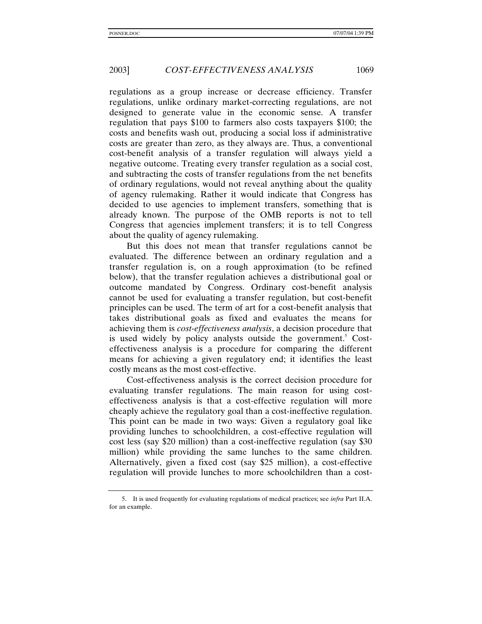regulations as a group increase or decrease efficiency. Transfer regulations, unlike ordinary market-correcting regulations, are not designed to generate value in the economic sense. A transfer regulation that pays \$100 to farmers also costs taxpayers \$100; the costs and benefits wash out, producing a social loss if administrative costs are greater than zero, as they always are. Thus, a conventional cost-benefit analysis of a transfer regulation will always yield a negative outcome. Treating every transfer regulation as a social cost, and subtracting the costs of transfer regulations from the net benefits of ordinary regulations, would not reveal anything about the quality of agency rulemaking. Rather it would indicate that Congress has decided to use agencies to implement transfers, something that is already known. The purpose of the OMB reports is not to tell Congress that agencies implement transfers; it is to tell Congress about the quality of agency rulemaking.

But this does not mean that transfer regulations cannot be evaluated. The difference between an ordinary regulation and a transfer regulation is, on a rough approximation (to be refined below), that the transfer regulation achieves a distributional goal or outcome mandated by Congress. Ordinary cost-benefit analysis cannot be used for evaluating a transfer regulation, but cost-benefit principles can be used. The term of art for a cost-benefit analysis that takes distributional goals as fixed and evaluates the means for achieving them is *cost-effectiveness analysis*, a decision procedure that is used widely by policy analysts outside the government.<sup>5</sup> Costeffectiveness analysis is a procedure for comparing the different means for achieving a given regulatory end; it identifies the least costly means as the most cost-effective.

Cost-effectiveness analysis is the correct decision procedure for evaluating transfer regulations. The main reason for using costeffectiveness analysis is that a cost-effective regulation will more cheaply achieve the regulatory goal than a cost-ineffective regulation. This point can be made in two ways: Given a regulatory goal like providing lunches to schoolchildren, a cost-effective regulation will cost less (say \$20 million) than a cost-ineffective regulation (say \$30 million) while providing the same lunches to the same children. Alternatively, given a fixed cost (say \$25 million), a cost-effective regulation will provide lunches to more schoolchildren than a cost-

<sup>5.</sup> It is used frequently for evaluating regulations of medical practices; see *infra* Part II.A. for an example.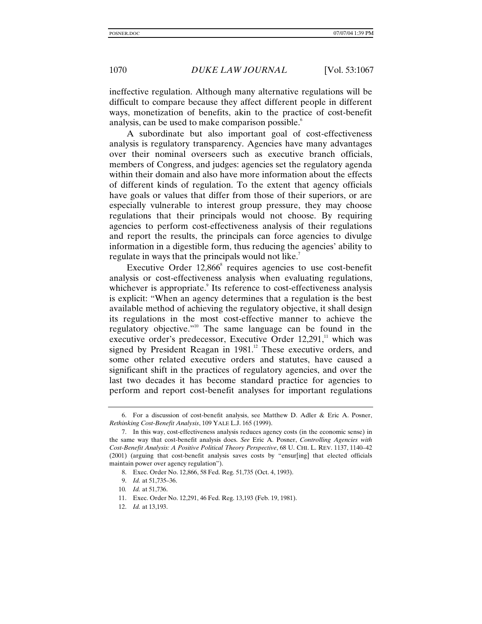ineffective regulation. Although many alternative regulations will be difficult to compare because they affect different people in different ways, monetization of benefits, akin to the practice of cost-benefit analysis, can be used to make comparison possible.<sup>6</sup>

A subordinate but also important goal of cost-effectiveness analysis is regulatory transparency. Agencies have many advantages over their nominal overseers such as executive branch officials, members of Congress, and judges: agencies set the regulatory agenda within their domain and also have more information about the effects of different kinds of regulation. To the extent that agency officials have goals or values that differ from those of their superiors, or are especially vulnerable to interest group pressure, they may choose regulations that their principals would not choose. By requiring agencies to perform cost-effectiveness analysis of their regulations and report the results, the principals can force agencies to divulge information in a digestible form, thus reducing the agencies' ability to regulate in ways that the principals would not like.<sup>7</sup>

Executive Order 12,866<sup>8</sup> requires agencies to use cost-benefit analysis or cost-effectiveness analysis when evaluating regulations, whichever is appropriate.<sup>9</sup> Its reference to cost-effectiveness analysis is explicit: "When an agency determines that a regulation is the best available method of achieving the regulatory objective, it shall design its regulations in the most cost-effective manner to achieve the regulatory objective."<sup>10</sup> The same language can be found in the executive order's predecessor, Executive Order  $12,291$ ,<sup>11</sup> which was signed by President Reagan in  $1981$ <sup>12</sup> These executive orders, and some other related executive orders and statutes, have caused a significant shift in the practices of regulatory agencies, and over the last two decades it has become standard practice for agencies to perform and report cost-benefit analyses for important regulations

<sup>6.</sup> For a discussion of cost-benefit analysis, see Matthew D. Adler & Eric A. Posner, *Rethinking Cost-Benefit Analysis*, 109 YALE L.J. 165 (1999).

<sup>7.</sup> In this way, cost-effectiveness analysis reduces agency costs (in the economic sense) in the same way that cost-benefit analysis does. *See* Eric A. Posner, *Controlling Agencies with Cost-Benefit Analysis: A Positive Political Theory Perspective*, 68 U. CHI. L. REV. 1137, 1140–42 (2001) (arguing that cost-benefit analysis saves costs by "ensur[ing] that elected officials maintain power over agency regulation").

<sup>8.</sup> Exec. Order No. 12,866, 58 Fed. Reg. 51,735 (Oct. 4, 1993).

<sup>9.</sup> *Id.* at 51,735–36.

<sup>10</sup>*. Id.* at 51,736.

<sup>11.</sup> Exec. Order No. 12,291, 46 Fed. Reg. 13,193 (Feb. 19, 1981).

<sup>12.</sup> *Id.* at 13,193.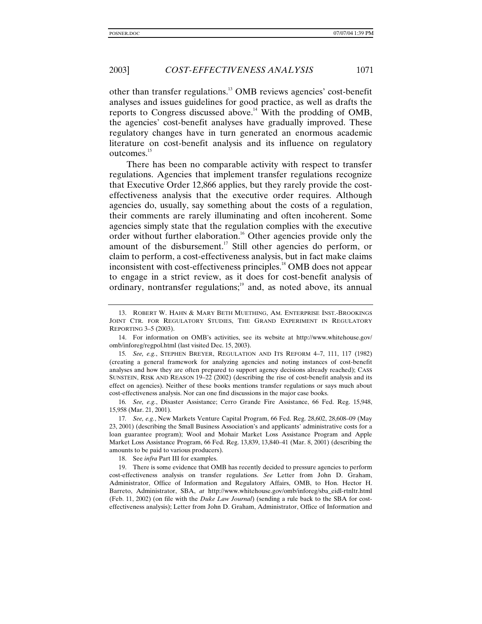other than transfer regulations.13 OMB reviews agencies' cost-benefit analyses and issues guidelines for good practice, as well as drafts the reports to Congress discussed above.14 With the prodding of OMB, the agencies' cost-benefit analyses have gradually improved. These regulatory changes have in turn generated an enormous academic literature on cost-benefit analysis and its influence on regulatory outcomes.<sup>15</sup>

There has been no comparable activity with respect to transfer regulations. Agencies that implement transfer regulations recognize that Executive Order 12,866 applies, but they rarely provide the costeffectiveness analysis that the executive order requires. Although agencies do, usually, say something about the costs of a regulation, their comments are rarely illuminating and often incoherent. Some agencies simply state that the regulation complies with the executive order without further elaboration.<sup>16</sup> Other agencies provide only the amount of the disbursement.<sup>17</sup> Still other agencies do perform, or claim to perform, a cost-effectiveness analysis, but in fact make claims inconsistent with cost-effectiveness principles.18 OMB does not appear to engage in a strict review, as it does for cost-benefit analysis of ordinary, nontransfer regulations;<sup>19</sup> and, as noted above, its annual

15*. See, e.g.*, STEPHEN BREYER, REGULATION AND ITS REFORM 4–7, 111, 117 (1982) (creating a general framework for analyzing agencies and noting instances of cost-benefit analyses and how they are often prepared to support agency decisions already reached); CASS SUNSTEIN, RISK AND REASON 19–22 (2002) (describing the rise of cost-benefit analysis and its effect on agencies). Neither of these books mentions transfer regulations or says much about cost-effectiveness analysis. Nor can one find discussions in the major case books.

16*. See, e.g.*, Disaster Assistance; Cerro Grande Fire Assistance, 66 Fed. Reg. 15,948, 15,958 (Mar. 21, 2001).

17*. See, e.g.*, New Markets Venture Capital Program, 66 Fed. Reg. 28,602, 28,608–09 (May 23, 2001) (describing the Small Business Association's and applicants' administrative costs for a loan guarantee program); Wool and Mohair Market Loss Assistance Program and Apple Market Loss Assistance Program, 66 Fed. Reg. 13,839, 13,840–41 (Mar. 8, 2001) (describing the amounts to be paid to various producers).

18. See *infra* Part III for examples.

19. There is some evidence that OMB has recently decided to pressure agencies to perform cost-effectiveness analysis on transfer regulations. *See* Letter from John D. Graham, Administrator, Office of Information and Regulatory Affairs, OMB, to Hon. Hector H. Barreto, Administrator, SBA, *at* http://www.whitehouse.gov/omb/inforeg/sba\_eidl-rtnltr.html (Feb. 11, 2002) (on file with the *Duke Law Journal*) (sending a rule back to the SBA for costeffectiveness analysis); Letter from John D. Graham, Administrator, Office of Information and

<sup>13.</sup> ROBERT W. HAHN & MARY BETH MUETHING, AM. ENTERPRISE INST.-BROOKINGS JOINT CTR. FOR REGULATORY STUDIES, THE GRAND EXPERIMENT IN REGULATORY REPORTING 3–5 (2003).

<sup>14.</sup> For information on OMB's activities, see its website at http://www.whitehouse.gov/ omb/inforeg/regpol.html (last visited Dec. 15, 2003).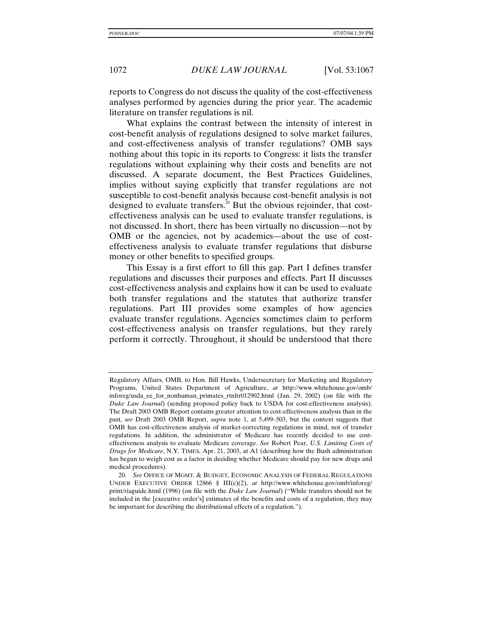reports to Congress do not discuss the quality of the cost-effectiveness analyses performed by agencies during the prior year. The academic literature on transfer regulations is nil.

What explains the contrast between the intensity of interest in cost-benefit analysis of regulations designed to solve market failures, and cost-effectiveness analysis of transfer regulations? OMB says nothing about this topic in its reports to Congress: it lists the transfer regulations without explaining why their costs and benefits are not discussed. A separate document, the Best Practices Guidelines, implies without saying explicitly that transfer regulations are not susceptible to cost-benefit analysis because cost-benefit analysis is not designed to evaluate transfers.<sup>20</sup> But the obvious rejoinder, that costeffectiveness analysis can be used to evaluate transfer regulations, is not discussed. In short, there has been virtually no discussion—not by OMB or the agencies, not by academics—about the use of costeffectiveness analysis to evaluate transfer regulations that disburse money or other benefits to specified groups.

This Essay is a first effort to fill this gap. Part I defines transfer regulations and discusses their purposes and effects. Part II discusses cost-effectiveness analysis and explains how it can be used to evaluate both transfer regulations and the statutes that authorize transfer regulations. Part III provides some examples of how agencies evaluate transfer regulations. Agencies sometimes claim to perform cost-effectiveness analysis on transfer regulations, but they rarely perform it correctly. Throughout, it should be understood that there

Regulatory Affairs, OMB, to Hon. Bill Hawks, Undersecretary for Marketing and Regulatory Programs, United States Department of Agriculture, *at* http://www.whitehouse.gov/omb/ inforeg/usda\_ee\_for\_nonhuman\_primates\_rtnltr012902.html (Jan. 29, 2002) (on file with the *Duke Law Journal*) (sending proposed policy back to USDA for cost-effectiveness analysis). The Draft 2003 OMB Report contains greater attention to cost-effectiveness analysis than in the past, *see* Draft 2003 OMB Report, *supra* note 1, at 5,499–503, but the context suggests that OMB has cost-effectiveness analysis of market-correcting regulations in mind, not of transfer regulations. In addition, the administrator of Medicare has recently decided to use costeffectiveness analysis to evaluate Medicare coverage. *See* Robert Pear, *U.S. Limiting Costs of Drugs for Medicare*, N.Y. TIMES, Apr. 21, 2003, at A1 (describing how the Bush administration has begun to weigh cost as a factor in deciding whether Medicare should pay for new drugs and medical procedures).

<sup>20</sup>*. See* OFFICE OF MGMT. & BUDGET, ECONOMIC ANALYSIS OF FEDERAL REGULATIONS UNDER EXECUTIVE ORDER 12866 § III(c)(2), *at* http://www.whitehouse.gov/omb/inforeg/ print/riaguide.html (1996) (on file with the *Duke Law Journal*) ("While transfers should not be included in the [executive order's] estimates of the benefits and costs of a regulation, they may be important for describing the distributional effects of a regulation.").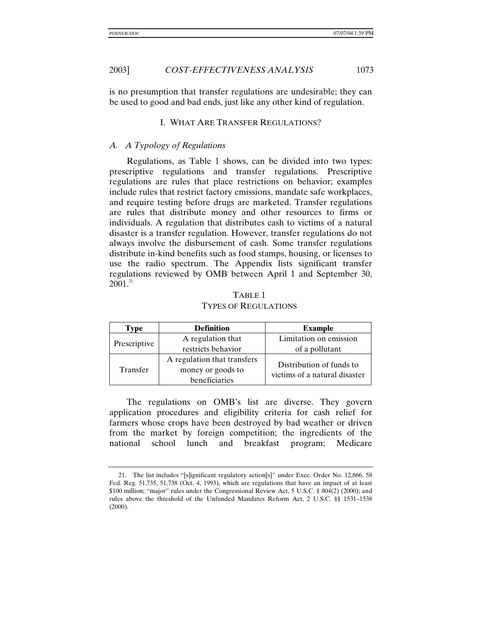is no presumption that transfer regulations are undesirable; they can be used to good and bad ends, just like any other kind of regulation.

#### I. WHAT ARE TRANSFER REGULATIONS?

## *A. A Typology of Regulations*

Regulations, as Table 1 shows, can be divided into two types: prescriptive regulations and transfer regulations. Prescriptive regulations are rules that place restrictions on behavior; examples include rules that restrict factory emissions, mandate safe workplaces, and require testing before drugs are marketed. Transfer regulations are rules that distribute money and other resources to firms or individuals. A regulation that distributes cash to victims of a natural disaster is a transfer regulation. However, transfer regulations do not always involve the disbursement of cash. Some transfer regulations distribute in-kind benefits such as food stamps, housing, or licenses to use the radio spectrum. The Appendix lists significant transfer regulations reviewed by OMB between April 1 and September 30,  $2001^{21}$ 

# TABLE 1 TYPES OF REGULATIONS

| Type            | <b>Definition</b>           | <b>Example</b>                |  |
|-----------------|-----------------------------|-------------------------------|--|
| Prescriptive    | A regulation that           | Limitation on emission        |  |
|                 | restricts behavior          | of a pollutant                |  |
| <b>Transfer</b> | A regulation that transfers | Distribution of funds to      |  |
|                 | money or goods to           | victims of a natural disaster |  |
|                 | beneficiaries               |                               |  |

The regulations on OMB's list are diverse. They govern application procedures and eligibility criteria for cash relief for farmers whose crops have been destroyed by bad weather or driven from the market by foreign competition; the ingredients of the national school lunch and breakfast program; Medicare

<sup>21.</sup> The list includes "[s]ignificant regulatory action[s]" under Exec. Order No. 12,866, 58 Fed. Reg. 51,735, 51,738 (Oct. 4, 1993), which are regulations that have an impact of at least \$100 million; "major" rules under the Congressional Review Act, 5 U.S.C. § 804(2) (2000); and rules above the threshold of the Unfunded Mandates Reform Act, 2 U.S.C. §§ 1531–1538 (2000).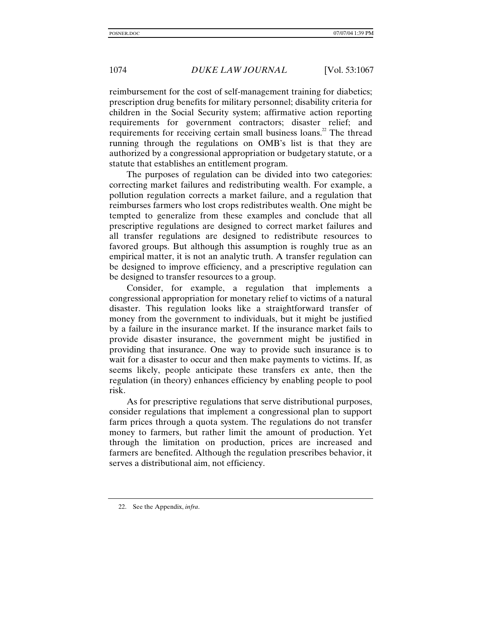reimbursement for the cost of self-management training for diabetics; prescription drug benefits for military personnel; disability criteria for children in the Social Security system; affirmative action reporting requirements for government contractors; disaster relief; and requirements for receiving certain small business loans.<sup>22</sup> The thread running through the regulations on OMB's list is that they are authorized by a congressional appropriation or budgetary statute, or a statute that establishes an entitlement program.

The purposes of regulation can be divided into two categories: correcting market failures and redistributing wealth. For example, a pollution regulation corrects a market failure, and a regulation that reimburses farmers who lost crops redistributes wealth. One might be tempted to generalize from these examples and conclude that all prescriptive regulations are designed to correct market failures and all transfer regulations are designed to redistribute resources to favored groups. But although this assumption is roughly true as an empirical matter, it is not an analytic truth. A transfer regulation can be designed to improve efficiency, and a prescriptive regulation can be designed to transfer resources to a group.

Consider, for example, a regulation that implements a congressional appropriation for monetary relief to victims of a natural disaster. This regulation looks like a straightforward transfer of money from the government to individuals, but it might be justified by a failure in the insurance market. If the insurance market fails to provide disaster insurance, the government might be justified in providing that insurance. One way to provide such insurance is to wait for a disaster to occur and then make payments to victims. If, as seems likely, people anticipate these transfers ex ante, then the regulation (in theory) enhances efficiency by enabling people to pool risk.

As for prescriptive regulations that serve distributional purposes, consider regulations that implement a congressional plan to support farm prices through a quota system. The regulations do not transfer money to farmers, but rather limit the amount of production. Yet through the limitation on production, prices are increased and farmers are benefited. Although the regulation prescribes behavior, it serves a distributional aim, not efficiency.

<sup>22.</sup> See the Appendix, *infra*.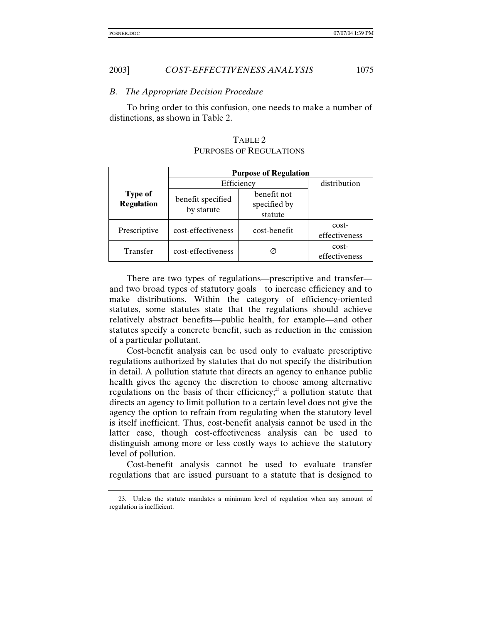#### *B. The Appropriate Decision Procedure*

To bring order to this confusion, one needs to make a number of distinctions, as shown in Table 2.

|                                     | <b>Purpose of Regulation</b>    |                                        |                          |  |
|-------------------------------------|---------------------------------|----------------------------------------|--------------------------|--|
|                                     | Efficiency                      |                                        | distribution             |  |
| <b>Type of</b><br><b>Regulation</b> | benefit specified<br>by statute | benefit not<br>specified by<br>statute |                          |  |
| Prescriptive                        | cost-effectiveness              | cost-benefit                           | cost-<br>effectiveness   |  |
| Transfer                            | cost-effectiveness              |                                        | $cost-$<br>effectiveness |  |

# TABLE 2 PURPOSES OF REGULATIONS

There are two types of regulations—prescriptive and transfer and two broad types of statutory goals—to increase efficiency and to make distributions. Within the category of efficiency-oriented statutes, some statutes state that the regulations should achieve relatively abstract benefits—public health, for example—and other statutes specify a concrete benefit, such as reduction in the emission of a particular pollutant.

Cost-benefit analysis can be used only to evaluate prescriptive regulations authorized by statutes that do not specify the distribution in detail. A pollution statute that directs an agency to enhance public health gives the agency the discretion to choose among alternative regulations on the basis of their efficiency; $^{23}$  a pollution statute that directs an agency to limit pollution to a certain level does not give the agency the option to refrain from regulating when the statutory level is itself inefficient. Thus, cost-benefit analysis cannot be used in the latter case, though cost-effectiveness analysis can be used to distinguish among more or less costly ways to achieve the statutory level of pollution.

Cost-benefit analysis cannot be used to evaluate transfer regulations that are issued pursuant to a statute that is designed to

<sup>23.</sup> Unless the statute mandates a minimum level of regulation when any amount of regulation is inefficient.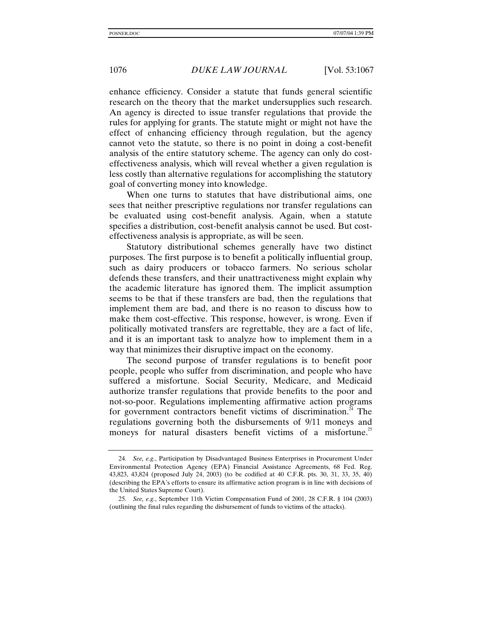enhance efficiency. Consider a statute that funds general scientific research on the theory that the market undersupplies such research. An agency is directed to issue transfer regulations that provide the rules for applying for grants. The statute might or might not have the effect of enhancing efficiency through regulation, but the agency cannot veto the statute, so there is no point in doing a cost-benefit analysis of the entire statutory scheme. The agency can only do costeffectiveness analysis, which will reveal whether a given regulation is less costly than alternative regulations for accomplishing the statutory goal of converting money into knowledge.

When one turns to statutes that have distributional aims, one sees that neither prescriptive regulations nor transfer regulations can be evaluated using cost-benefit analysis. Again, when a statute specifies a distribution, cost-benefit analysis cannot be used. But costeffectiveness analysis is appropriate, as will be seen.

Statutory distributional schemes generally have two distinct purposes. The first purpose is to benefit a politically influential group, such as dairy producers or tobacco farmers. No serious scholar defends these transfers, and their unattractiveness might explain why the academic literature has ignored them. The implicit assumption seems to be that if these transfers are bad, then the regulations that implement them are bad, and there is no reason to discuss how to make them cost-effective. This response, however, is wrong. Even if politically motivated transfers are regrettable, they are a fact of life, and it is an important task to analyze how to implement them in a way that minimizes their disruptive impact on the economy.

The second purpose of transfer regulations is to benefit poor people, people who suffer from discrimination, and people who have suffered a misfortune. Social Security, Medicare, and Medicaid authorize transfer regulations that provide benefits to the poor and not-so-poor. Regulations implementing affirmative action programs for government contractors benefit victims of discrimination.<sup>24</sup> The regulations governing both the disbursements of 9/11 moneys and moneys for natural disasters benefit victims of a misfortune.<sup>25</sup>

<sup>24</sup>*. See, e.g.*, Participation by Disadvantaged Business Enterprises in Procurement Under Environmental Protection Agency (EPA) Financial Assistance Agreements, 68 Fed. Reg. 43,823, 43,824 (proposed July 24, 2003) (to be codified at 40 C.F.R. pts. 30, 31, 33, 35, 40) (describing the EPA's efforts to ensure its affirmative action program is in line with decisions of the United States Supreme Court).

<sup>25</sup>*. See, e.g.*, September 11th Victim Compensation Fund of 2001, 28 C.F.R. § 104 (2003) (outlining the final rules regarding the disbursement of funds to victims of the attacks).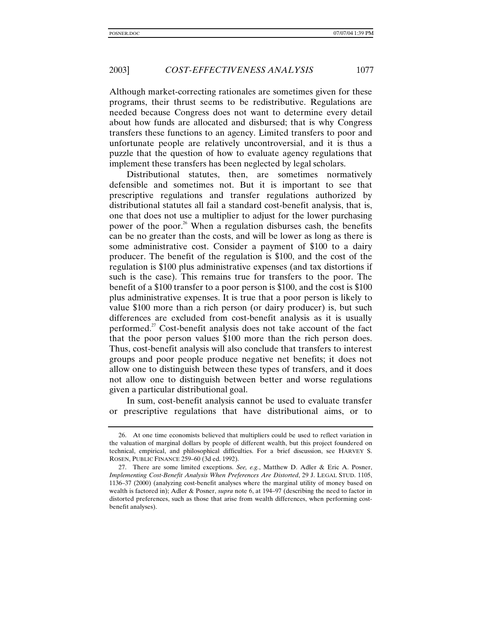Although market-correcting rationales are sometimes given for these programs, their thrust seems to be redistributive. Regulations are needed because Congress does not want to determine every detail about how funds are allocated and disbursed; that is why Congress transfers these functions to an agency. Limited transfers to poor and unfortunate people are relatively uncontroversial, and it is thus a puzzle that the question of how to evaluate agency regulations that implement these transfers has been neglected by legal scholars.

Distributional statutes, then, are sometimes normatively defensible and sometimes not. But it is important to see that prescriptive regulations and transfer regulations authorized by distributional statutes all fail a standard cost-benefit analysis, that is, one that does not use a multiplier to adjust for the lower purchasing power of the poor.<sup>26</sup> When a regulation disburses cash, the benefits can be no greater than the costs, and will be lower as long as there is some administrative cost. Consider a payment of \$100 to a dairy producer. The benefit of the regulation is \$100, and the cost of the regulation is \$100 plus administrative expenses (and tax distortions if such is the case). This remains true for transfers to the poor. The benefit of a \$100 transfer to a poor person is \$100, and the cost is \$100 plus administrative expenses. It is true that a poor person is likely to value \$100 more than a rich person (or dairy producer) is, but such differences are excluded from cost-benefit analysis as it is usually performed.<sup>27</sup> Cost-benefit analysis does not take account of the fact that the poor person values \$100 more than the rich person does. Thus, cost-benefit analysis will also conclude that transfers to interest groups and poor people produce negative net benefits; it does not allow one to distinguish between these types of transfers, and it does not allow one to distinguish between better and worse regulations given a particular distributional goal.

In sum, cost-benefit analysis cannot be used to evaluate transfer or prescriptive regulations that have distributional aims, or to

<sup>26.</sup> At one time economists believed that multipliers could be used to reflect variation in the valuation of marginal dollars by people of different wealth, but this project foundered on technical, empirical, and philosophical difficulties. For a brief discussion, see HARVEY S. ROSEN, PUBLIC FINANCE 259–60 (3d ed. 1992).

<sup>27.</sup> There are some limited exceptions. *See, e.g.*, Matthew D. Adler & Eric A. Posner, *Implementing Cost-Benefit Analysis When Preferences Are Distorted*, 29 J. LEGAL STUD. 1105, 1136–37 (2000) (analyzing cost-benefit analyses where the marginal utility of money based on wealth is factored in); Adler & Posner, *supra* note 6, at 194–97 (describing the need to factor in distorted preferences, such as those that arise from wealth differences, when performing costbenefit analyses).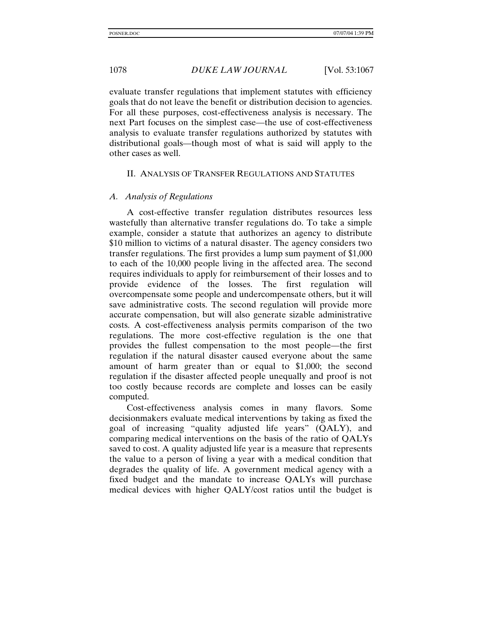evaluate transfer regulations that implement statutes with efficiency goals that do not leave the benefit or distribution decision to agencies. For all these purposes, cost-effectiveness analysis is necessary. The next Part focuses on the simplest case—the use of cost-effectiveness analysis to evaluate transfer regulations authorized by statutes with distributional goals—though most of what is said will apply to the other cases as well.

#### II. ANALYSIS OF TRANSFER REGULATIONS AND STATUTES

#### *A. Analysis of Regulations*

A cost-effective transfer regulation distributes resources less wastefully than alternative transfer regulations do. To take a simple example, consider a statute that authorizes an agency to distribute \$10 million to victims of a natural disaster. The agency considers two transfer regulations. The first provides a lump sum payment of \$1,000 to each of the 10,000 people living in the affected area. The second requires individuals to apply for reimbursement of their losses and to provide evidence of the losses. The first regulation will overcompensate some people and undercompensate others, but it will save administrative costs. The second regulation will provide more accurate compensation, but will also generate sizable administrative costs. A cost-effectiveness analysis permits comparison of the two regulations. The more cost-effective regulation is the one that provides the fullest compensation to the most people—the first regulation if the natural disaster caused everyone about the same amount of harm greater than or equal to \$1,000; the second regulation if the disaster affected people unequally and proof is not too costly because records are complete and losses can be easily computed.

Cost-effectiveness analysis comes in many flavors. Some decisionmakers evaluate medical interventions by taking as fixed the goal of increasing "quality adjusted life years" (QALY), and comparing medical interventions on the basis of the ratio of QALYs saved to cost. A quality adjusted life year is a measure that represents the value to a person of living a year with a medical condition that degrades the quality of life. A government medical agency with a fixed budget and the mandate to increase QALYs will purchase medical devices with higher QALY/cost ratios until the budget is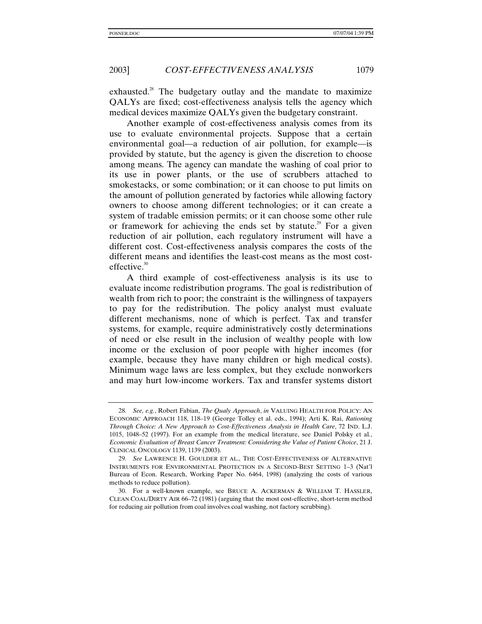exhausted.<sup>28</sup> The budgetary outlay and the mandate to maximize QALYs are fixed; cost-effectiveness analysis tells the agency which medical devices maximize QALYs given the budgetary constraint.

Another example of cost-effectiveness analysis comes from its use to evaluate environmental projects. Suppose that a certain environmental goal—a reduction of air pollution, for example—is provided by statute, but the agency is given the discretion to choose among means. The agency can mandate the washing of coal prior to its use in power plants, or the use of scrubbers attached to smokestacks, or some combination; or it can choose to put limits on the amount of pollution generated by factories while allowing factory owners to choose among different technologies; or it can create a system of tradable emission permits; or it can choose some other rule or framework for achieving the ends set by statute.<sup>29</sup> For a given reduction of air pollution, each regulatory instrument will have a different cost. Cost-effectiveness analysis compares the costs of the different means and identifies the least-cost means as the most costeffective.<sup>30</sup>

A third example of cost-effectiveness analysis is its use to evaluate income redistribution programs. The goal is redistribution of wealth from rich to poor; the constraint is the willingness of taxpayers to pay for the redistribution. The policy analyst must evaluate different mechanisms, none of which is perfect. Tax and transfer systems, for example, require administratively costly determinations of need or else result in the inclusion of wealthy people with low income or the exclusion of poor people with higher incomes (for example, because they have many children or high medical costs). Minimum wage laws are less complex, but they exclude nonworkers and may hurt low-income workers. Tax and transfer systems distort

<sup>28</sup>*. See, e.g.*, Robert Fabian, *The Qualy Approach*, *in* VALUING HEALTH FOR POLICY: AN ECONOMIC APPROACH 118, 118–19 (George Tolley et al. eds., 1994); Arti K. Rai, *Rationing Through Choice: A New Approach to Cost-Effectiveness Analysis in Health Care*, 72 IND. L.J. 1015, 1048–52 (1997). For an example from the medical literature, see Daniel Polsky et al*.*, *Economic Evaluation of Breast Cancer Treatment: Considering the Value of Patient Choice*, 21 J. CLINICAL ONCOLOGY 1139, 1139 (2003).

<sup>29</sup>*. See* LAWRENCE H. GOULDER ET AL., THE COST-EFFECTIVENESS OF ALTERNATIVE INSTRUMENTS FOR ENVIRONMENTAL PROTECTION IN A SECOND-BEST SETTING 1–3 (Nat'l Bureau of Econ. Research, Working Paper No. 6464, 1998) (analyzing the costs of various methods to reduce pollution).

<sup>30.</sup> For a well-known example, see BRUCE A. ACKERMAN & WILLIAM T. HASSLER, CLEAN COAL/DIRTY AIR 66–72 (1981) (arguing that the most cost-effective, short-term method for reducing air pollution from coal involves coal washing, not factory scrubbing).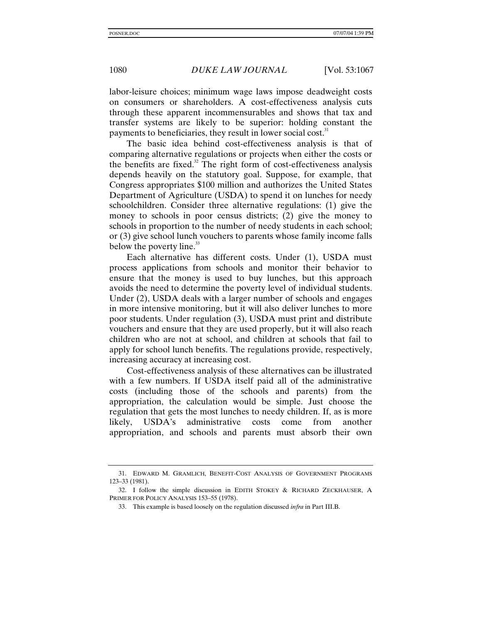labor-leisure choices; minimum wage laws impose deadweight costs on consumers or shareholders. A cost-effectiveness analysis cuts through these apparent incommensurables and shows that tax and transfer systems are likely to be superior: holding constant the payments to beneficiaries, they result in lower social cost.<sup>31</sup>

The basic idea behind cost-effectiveness analysis is that of comparing alternative regulations or projects when either the costs or the benefits are fixed. $32$  The right form of cost-effectiveness analysis depends heavily on the statutory goal. Suppose, for example, that Congress appropriates \$100 million and authorizes the United States Department of Agriculture (USDA) to spend it on lunches for needy schoolchildren. Consider three alternative regulations: (1) give the money to schools in poor census districts; (2) give the money to schools in proportion to the number of needy students in each school; or (3) give school lunch vouchers to parents whose family income falls below the poverty line.<sup>33</sup>

Each alternative has different costs. Under (1), USDA must process applications from schools and monitor their behavior to ensure that the money is used to buy lunches, but this approach avoids the need to determine the poverty level of individual students. Under (2), USDA deals with a larger number of schools and engages in more intensive monitoring, but it will also deliver lunches to more poor students. Under regulation (3), USDA must print and distribute vouchers and ensure that they are used properly, but it will also reach children who are not at school, and children at schools that fail to apply for school lunch benefits. The regulations provide, respectively, increasing accuracy at increasing cost.

Cost-effectiveness analysis of these alternatives can be illustrated with a few numbers. If USDA itself paid all of the administrative costs (including those of the schools and parents) from the appropriation, the calculation would be simple. Just choose the regulation that gets the most lunches to needy children. If, as is more likely, USDA's administrative costs come from another appropriation, and schools and parents must absorb their own

<sup>31.</sup> EDWARD M. GRAMLICH, BENEFIT-COST ANALYSIS OF GOVERNMENT PROGRAMS 123–33 (1981).

<sup>32.</sup> I follow the simple discussion in EDITH STOKEY & RICHARD ZECKHAUSER, A PRIMER FOR POLICY ANALYSIS 153–55 (1978).

<sup>33.</sup> This example is based loosely on the regulation discussed *infra* in Part III.B.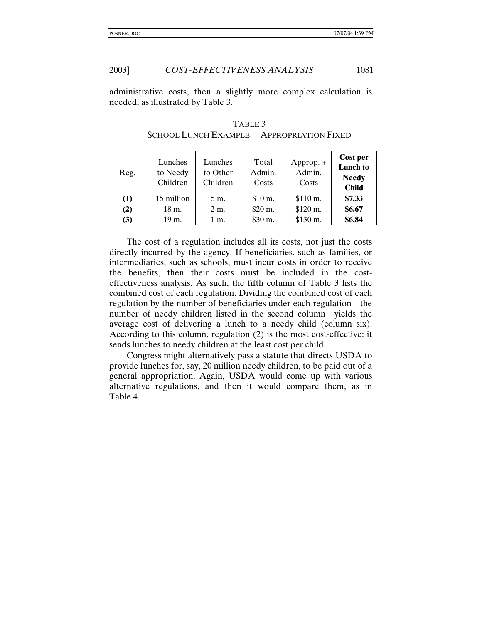### 2003] *COST-EFFECTIVENESS ANALYSIS* 1081

administrative costs, then a slightly more complex calculation is needed, as illustrated by Table 3.

| Reg. | Lunches<br>to Needy<br>Children | Lunches<br>to Other<br>Children | Total<br>Admin.<br>Costs | $Approp. +$<br>Admin.<br>Costs | Cost per<br><b>Lunch</b> to<br><b>Needy</b><br><b>Child</b> |
|------|---------------------------------|---------------------------------|--------------------------|--------------------------------|-------------------------------------------------------------|
| (1)  | 15 million                      | 5 m.                            | $$10 \text{ m}$ .        | \$110 m.                       | \$7.33                                                      |
| (2)  | 18 m.                           | 2 m.                            | \$20 m.                  | \$120 m.                       | \$6.67                                                      |
| (3)  | 19 m.                           | 1 m.                            | \$30 m.                  | \$130 m.                       | \$6.84                                                      |

TABLE 3 SCHOOL LUNCH EXAMPLE - APPROPRIATION FIXED

The cost of a regulation includes all its costs, not just the costs directly incurred by the agency. If beneficiaries, such as families, or intermediaries, such as schools, must incur costs in order to receive the benefits, then their costs must be included in the costeffectiveness analysis. As such, the fifth column of Table 3 lists the combined cost of each regulation. Dividing the combined cost of each regulation by the number of beneficiaries under each regulation—the number of needy children listed in the second column—yields the average cost of delivering a lunch to a needy child (column six). According to this column, regulation (2) is the most cost-effective: it sends lunches to needy children at the least cost per child.

Congress might alternatively pass a statute that directs USDA to provide lunches for, say, 20 million needy children, to be paid out of a general appropriation. Again, USDA would come up with various alternative regulations, and then it would compare them, as in Table 4.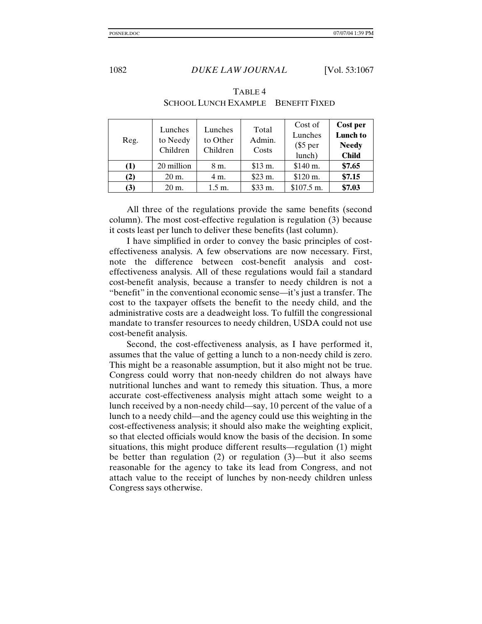| Reg. | Lunches<br>to Needy<br>Children | Lunches<br>to Other<br>Children | Total<br>Admin.<br>Costs | Cost of<br>Lunches<br>$\$5$ per<br>lunch) | Cost per<br><b>Lunch to</b><br><b>Needy</b><br><b>Child</b> |
|------|---------------------------------|---------------------------------|--------------------------|-------------------------------------------|-------------------------------------------------------------|
| (1)  | 20 million                      | 8 m.                            | \$13 m.                  | \$140 m.                                  | \$7.65                                                      |
| (2)  | $20 \text{ m}$ .                | 4 m.                            | \$23 m.                  | \$120 m.                                  | \$7.15                                                      |
| (3)  | 20 m.                           | $1.5 \text{ m}$ .               | \$33 m.                  | \$107.5 m.                                | \$7.03                                                      |

TABLE 4 SCHOOL LUNCH EXAMPLE-BENEFIT FIXED

All three of the regulations provide the same benefits (second column). The most cost-effective regulation is regulation (3) because it costs least per lunch to deliver these benefits (last column).

I have simplified in order to convey the basic principles of costeffectiveness analysis. A few observations are now necessary. First, note the difference between cost-benefit analysis and costeffectiveness analysis. All of these regulations would fail a standard cost-benefit analysis, because a transfer to needy children is not a "benefit" in the conventional economic sense—it's just a transfer. The cost to the taxpayer offsets the benefit to the needy child, and the administrative costs are a deadweight loss. To fulfill the congressional mandate to transfer resources to needy children, USDA could not use cost-benefit analysis.

Second, the cost-effectiveness analysis, as I have performed it, assumes that the value of getting a lunch to a non-needy child is zero. This might be a reasonable assumption, but it also might not be true. Congress could worry that non-needy children do not always have nutritional lunches and want to remedy this situation. Thus, a more accurate cost-effectiveness analysis might attach some weight to a lunch received by a non-needy child—say, 10 percent of the value of a lunch to a needy child—and the agency could use this weighting in the cost-effectiveness analysis; it should also make the weighting explicit, so that elected officials would know the basis of the decision. In some situations, this might produce different results—regulation (1) might be better than regulation (2) or regulation (3)—but it also seems reasonable for the agency to take its lead from Congress, and not attach value to the receipt of lunches by non-needy children unless Congress says otherwise.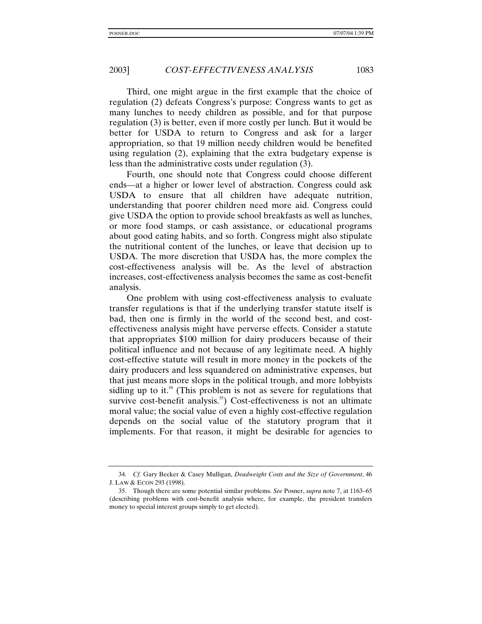Third, one might argue in the first example that the choice of regulation (2) defeats Congress's purpose: Congress wants to get as many lunches to needy children as possible, and for that purpose regulation (3) is better, even if more costly per lunch. But it would be better for USDA to return to Congress and ask for a larger appropriation, so that 19 million needy children would be benefited using regulation (2), explaining that the extra budgetary expense is less than the administrative costs under regulation (3).

Fourth, one should note that Congress could choose different ends—at a higher or lower level of abstraction. Congress could ask USDA to ensure that all children have adequate nutrition, understanding that poorer children need more aid. Congress could give USDA the option to provide school breakfasts as well as lunches, or more food stamps, or cash assistance, or educational programs about good eating habits, and so forth. Congress might also stipulate the nutritional content of the lunches, or leave that decision up to USDA. The more discretion that USDA has, the more complex the cost-effectiveness analysis will be. As the level of abstraction increases, cost-effectiveness analysis becomes the same as cost-benefit analysis.

One problem with using cost-effectiveness analysis to evaluate transfer regulations is that if the underlying transfer statute itself is bad, then one is firmly in the world of the second best, and costeffectiveness analysis might have perverse effects. Consider a statute that appropriates \$100 million for dairy producers because of their political influence and not because of any legitimate need. A highly cost-effective statute will result in more money in the pockets of the dairy producers and less squandered on administrative expenses, but that just means more slops in the political trough, and more lobbyists sidling up to it.<sup>34</sup> (This problem is not as severe for regulations that survive cost-benefit analysis.<sup>35</sup>) Cost-effectiveness is not an ultimate moral value; the social value of even a highly cost-effective regulation depends on the social value of the statutory program that it implements. For that reason, it might be desirable for agencies to

<sup>34</sup>*. Cf.* Gary Becker & Casey Mulligan, *Deadweight Costs and the Size of Government*, 46 J. LAW & ECON 293 (1998).

<sup>35.</sup> Though there are some potential similar problems. *See* Posner, *supra* note 7, at 1163–65 (describing problems with cost-benefit analysis where, for example, the president transfers money to special interest groups simply to get elected).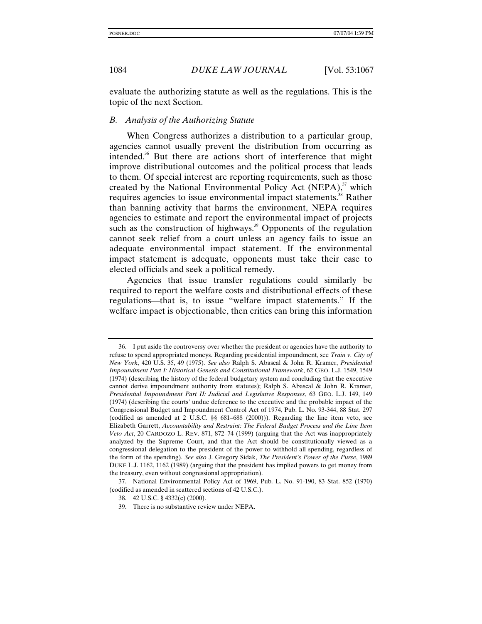evaluate the authorizing statute as well as the regulations. This is the topic of the next Section.

#### *B. Analysis of the Authorizing Statute*

When Congress authorizes a distribution to a particular group, agencies cannot usually prevent the distribution from occurring as intended.<sup>36</sup> But there are actions short of interference that might improve distributional outcomes and the political process that leads to them. Of special interest are reporting requirements, such as those created by the National Environmental Policy Act (NEPA), $37$  which requires agencies to issue environmental impact statements.<sup>38</sup> Rather than banning activity that harms the environment, NEPA requires agencies to estimate and report the environmental impact of projects such as the construction of highways.<sup>39</sup> Opponents of the regulation cannot seek relief from a court unless an agency fails to issue an adequate environmental impact statement. If the environmental impact statement is adequate, opponents must take their case to elected officials and seek a political remedy.

Agencies that issue transfer regulations could similarly be required to report the welfare costs and distributional effects of these regulations—that is, to issue "welfare impact statements." If the welfare impact is objectionable, then critics can bring this information

37. National Environmental Policy Act of 1969, Pub. L. No. 91-190, 83 Stat. 852 (1970) (codified as amended in scattered sections of 42 U.S.C.).

<sup>36.</sup> I put aside the controversy over whether the president or agencies have the authority to refuse to spend appropriated moneys. Regarding presidential impoundment, see *Train v. City of New York*, 420 U.S. 35, 49 (1975). *See also* Ralph S. Abascal & John R. Kramer, *Presidential Impoundment Part I: Historical Genesis and Constitutional Framework*, 62 GEO. L.J. 1549, 1549 (1974) (describing the history of the federal budgetary system and concluding that the executive cannot derive impoundment authority from statutes); Ralph S. Abascal & John R. Kramer, *Presidential Impoundment Part II: Judicial and Legislative Responses*, 63 GEO. L.J. 149, 149 (1974) (describing the courts' undue deference to the executive and the probable impact of the Congressional Budget and Impoundment Control Act of 1974, Pub. L. No. 93-344, 88 Stat. 297 (codified as amended at 2 U.S.C. §§ 681–688 (2000))). Regarding the line item veto, see Elizabeth Garrett, *Accountability and Restraint: The Federal Budget Process and the Line Item Veto Act*, 20 CARDOZO L. REV. 871, 872–74 (1999) (arguing that the Act was inappropriately analyzed by the Supreme Court, and that the Act should be constitutionally viewed as a congressional delegation to the president of the power to withhold all spending, regardless of the form of the spending). *See also* J. Gregory Sidak, *The President's Power of the Purse*, 1989 DUKE L.J. 1162, 1162 (1989) (arguing that the president has implied powers to get money from the treasury, even without congressional appropriation).

<sup>38. 42</sup> U.S.C. § 4332(c) (2000).

<sup>39.</sup> There is no substantive review under NEPA.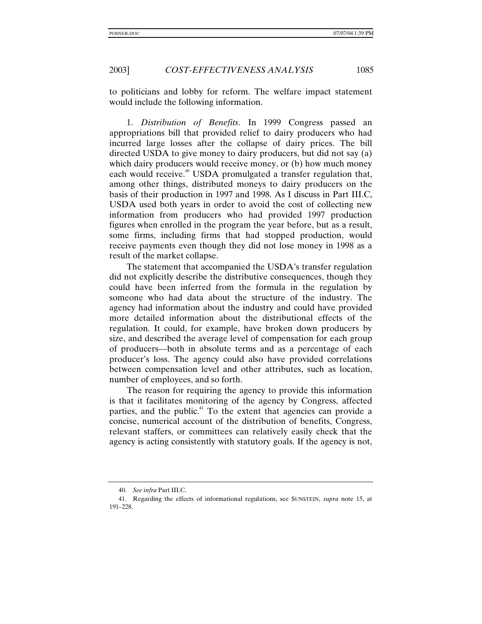to politicians and lobby for reform. The welfare impact statement would include the following information.

1. *Distribution of Benefits*. In 1999 Congress passed an appropriations bill that provided relief to dairy producers who had incurred large losses after the collapse of dairy prices. The bill directed USDA to give money to dairy producers, but did not say (a) which dairy producers would receive money, or (b) how much money each would receive.<sup>40</sup> USDA promulgated a transfer regulation that, among other things, distributed moneys to dairy producers on the basis of their production in 1997 and 1998. As I discuss in Part III.C, USDA used both years in order to avoid the cost of collecting new information from producers who had provided 1997 production figures when enrolled in the program the year before, but as a result, some firms, including firms that had stopped production, would receive payments even though they did not lose money in 1998 as a result of the market collapse.

The statement that accompanied the USDA's transfer regulation did not explicitly describe the distributive consequences, though they could have been inferred from the formula in the regulation by someone who had data about the structure of the industry. The agency had information about the industry and could have provided more detailed information about the distributional effects of the regulation. It could, for example, have broken down producers by size, and described the average level of compensation for each group of producers—both in absolute terms and as a percentage of each producer's loss. The agency could also have provided correlations between compensation level and other attributes, such as location, number of employees, and so forth.

The reason for requiring the agency to provide this information is that it facilitates monitoring of the agency by Congress, affected parties, and the public.<sup>41</sup> To the extent that agencies can provide a concise, numerical account of the distribution of benefits, Congress, relevant staffers, or committees can relatively easily check that the agency is acting consistently with statutory goals. If the agency is not,

<sup>40.</sup> *See infra* Part III.C.

<sup>41.</sup> Regarding the effects of informational regulations, see SUNSTEIN, *supra* note 15, at 191–228.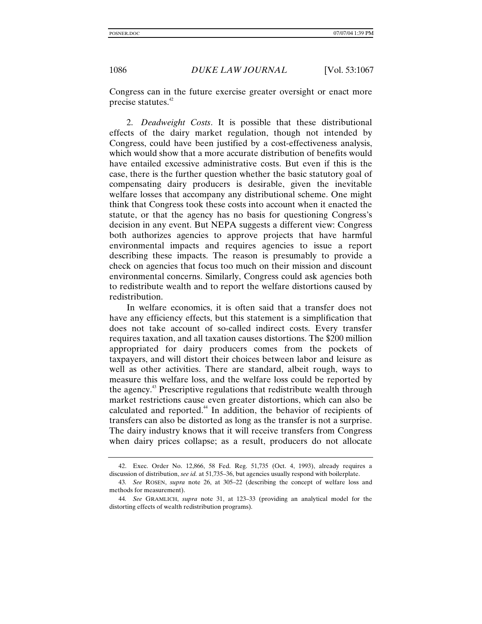Congress can in the future exercise greater oversight or enact more precise statutes.<sup>42</sup>

2. *Deadweight Costs*. It is possible that these distributional effects of the dairy market regulation, though not intended by Congress, could have been justified by a cost-effectiveness analysis, which would show that a more accurate distribution of benefits would have entailed excessive administrative costs. But even if this is the case, there is the further question whether the basic statutory goal of compensating dairy producers is desirable, given the inevitable welfare losses that accompany any distributional scheme. One might think that Congress took these costs into account when it enacted the statute, or that the agency has no basis for questioning Congress's decision in any event. But NEPA suggests a different view: Congress both authorizes agencies to approve projects that have harmful environmental impacts and requires agencies to issue a report describing these impacts. The reason is presumably to provide a check on agencies that focus too much on their mission and discount environmental concerns. Similarly, Congress could ask agencies both to redistribute wealth and to report the welfare distortions caused by redistribution.

In welfare economics, it is often said that a transfer does not have any efficiency effects, but this statement is a simplification that does not take account of so-called indirect costs. Every transfer requires taxation, and all taxation causes distortions. The \$200 million appropriated for dairy producers comes from the pockets of taxpayers, and will distort their choices between labor and leisure as well as other activities. There are standard, albeit rough, ways to measure this welfare loss, and the welfare loss could be reported by the agency.43 Prescriptive regulations that redistribute wealth through market restrictions cause even greater distortions, which can also be calculated and reported.44 In addition, the behavior of recipients of transfers can also be distorted as long as the transfer is not a surprise. The dairy industry knows that it will receive transfers from Congress when dairy prices collapse; as a result, producers do not allocate

<sup>42.</sup> Exec. Order No. 12,866, 58 Fed. Reg. 51,735 (Oct. 4, 1993), already requires a discussion of distribution, *see id.* at 51,735–36, but agencies usually respond with boilerplate.

<sup>43</sup>*. See* ROSEN, *supra* note 26, at 305–22 (describing the concept of welfare loss and methods for measurement).

<sup>44</sup>*. See* GRAMLICH, *supra* note 31, at 123–33 (providing an analytical model for the distorting effects of wealth redistribution programs).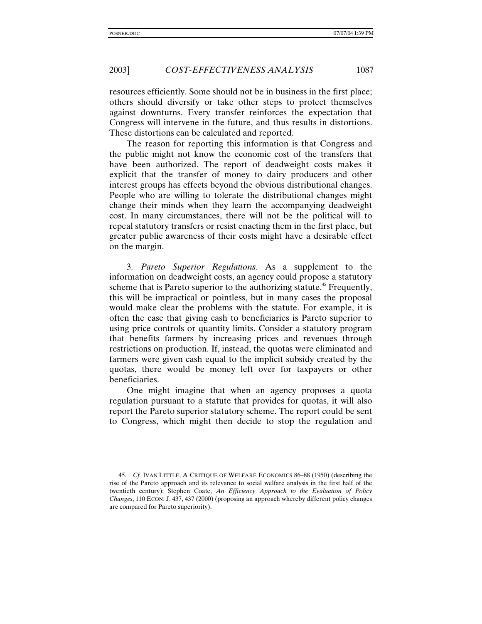resources efficiently. Some should not be in business in the first place; others should diversify or take other steps to protect themselves against downturns. Every transfer reinforces the expectation that Congress will intervene in the future, and thus results in distortions. These distortions can be calculated and reported.

The reason for reporting this information is that Congress and the public might not know the economic cost of the transfers that have been authorized. The report of deadweight costs makes it explicit that the transfer of money to dairy producers and other interest groups has effects beyond the obvious distributional changes. People who are willing to tolerate the distributional changes might change their minds when they learn the accompanying deadweight cost. In many circumstances, there will not be the political will to repeal statutory transfers or resist enacting them in the first place, but greater public awareness of their costs might have a desirable effect on the margin.

3. *Pareto Superior Regulations.* As a supplement to the information on deadweight costs, an agency could propose a statutory scheme that is Pareto superior to the authorizing statute.<sup>45</sup> Frequently, this will be impractical or pointless, but in many cases the proposal would make clear the problems with the statute. For example, it is often the case that giving cash to beneficiaries is Pareto superior to using price controls or quantity limits. Consider a statutory program that benefits farmers by increasing prices and revenues through restrictions on production. If, instead, the quotas were eliminated and farmers were given cash equal to the implicit subsidy created by the quotas, there would be money left over for taxpayers or other beneficiaries.

One might imagine that when an agency proposes a quota regulation pursuant to a statute that provides for quotas, it will also report the Pareto superior statutory scheme. The report could be sent to Congress, which might then decide to stop the regulation and

<sup>45</sup>*. Cf.* IVAN LITTLE, A CRITIQUE OF WELFARE ECONOMICS 86–88 (1950) (describing the rise of the Pareto approach and its relevance to social welfare analysis in the first half of the twentieth century); Stephen Coate, *An Efficiency Approach to the Evaluation of Policy Changes*, 110 ECON. J. 437, 437 (2000) (proposing an approach whereby different policy changes are compared for Pareto superiority).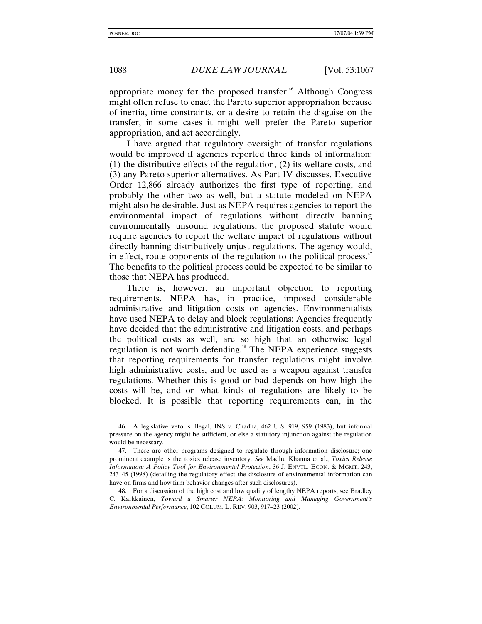appropriate money for the proposed transfer.<sup> $46$ </sup> Although Congress might often refuse to enact the Pareto superior appropriation because of inertia, time constraints, or a desire to retain the disguise on the transfer, in some cases it might well prefer the Pareto superior appropriation, and act accordingly.

I have argued that regulatory oversight of transfer regulations would be improved if agencies reported three kinds of information: (1) the distributive effects of the regulation, (2) its welfare costs, and (3) any Pareto superior alternatives. As Part IV discusses, Executive Order 12,866 already authorizes the first type of reporting, and probably the other two as well, but a statute modeled on NEPA might also be desirable. Just as NEPA requires agencies to report the environmental impact of regulations without directly banning environmentally unsound regulations, the proposed statute would require agencies to report the welfare impact of regulations without directly banning distributively unjust regulations. The agency would, in effect, route opponents of the regulation to the political process. $47$ The benefits to the political process could be expected to be similar to those that NEPA has produced.

There is, however, an important objection to reporting requirements. NEPA has, in practice, imposed considerable administrative and litigation costs on agencies. Environmentalists have used NEPA to delay and block regulations: Agencies frequently have decided that the administrative and litigation costs, and perhaps the political costs as well, are so high that an otherwise legal regulation is not worth defending.<sup>48</sup> The NEPA experience suggests that reporting requirements for transfer regulations might involve high administrative costs, and be used as a weapon against transfer regulations. Whether this is good or bad depends on how high the costs will be, and on what kinds of regulations are likely to be blocked. It is possible that reporting requirements can, in the

<sup>46.</sup> A legislative veto is illegal, INS v. Chadha, 462 U.S. 919, 959 (1983), but informal pressure on the agency might be sufficient, or else a statutory injunction against the regulation would be necessary.

<sup>47.</sup> There are other programs designed to regulate through information disclosure; one prominent example is the toxics release inventory. *See* Madhu Khanna et al., *Toxics Release Information: A Policy Tool for Environmental Protection*, 36 J. ENVTL. ECON. & MGMT. 243, 243–45 (1998) (detailing the regulatory effect the disclosure of environmental information can have on firms and how firm behavior changes after such disclosures).

<sup>48.</sup> For a discussion of the high cost and low quality of lengthy NEPA reports, see Bradley C. Karkkainen, *Toward a Smarter NEPA: Monitoring and Managing Government's Environmental Performance*, 102 COLUM. L. REV. 903, 917–23 (2002).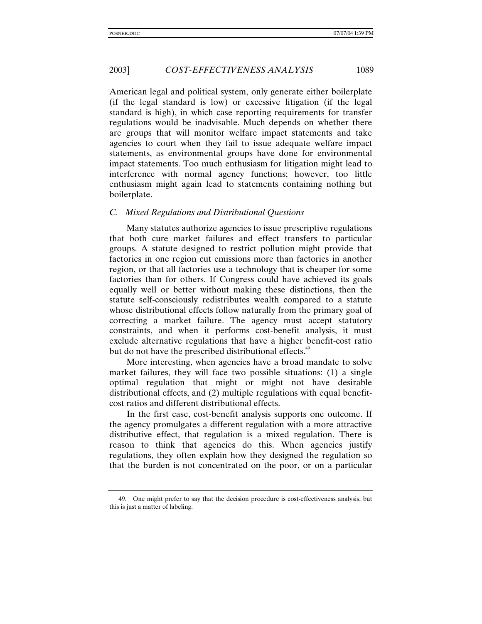American legal and political system, only generate either boilerplate (if the legal standard is low) or excessive litigation (if the legal standard is high), in which case reporting requirements for transfer regulations would be inadvisable. Much depends on whether there are groups that will monitor welfare impact statements and take agencies to court when they fail to issue adequate welfare impact statements, as environmental groups have done for environmental impact statements. Too much enthusiasm for litigation might lead to interference with normal agency functions; however, too little enthusiasm might again lead to statements containing nothing but boilerplate.

#### *C. Mixed Regulations and Distributional Questions*

Many statutes authorize agencies to issue prescriptive regulations that both cure market failures and effect transfers to particular groups. A statute designed to restrict pollution might provide that factories in one region cut emissions more than factories in another region, or that all factories use a technology that is cheaper for some factories than for others. If Congress could have achieved its goals equally well or better without making these distinctions, then the statute self-consciously redistributes wealth compared to a statute whose distributional effects follow naturally from the primary goal of correcting a market failure. The agency must accept statutory constraints, and when it performs cost-benefit analysis, it must exclude alternative regulations that have a higher benefit-cost ratio but do not have the prescribed distributional effects.<sup>49</sup>

More interesting, when agencies have a broad mandate to solve market failures, they will face two possible situations: (1) a single optimal regulation that might or might not have desirable distributional effects, and (2) multiple regulations with equal benefitcost ratios and different distributional effects.

In the first case, cost-benefit analysis supports one outcome. If the agency promulgates a different regulation with a more attractive distributive effect, that regulation is a mixed regulation. There is reason to think that agencies do this. When agencies justify regulations, they often explain how they designed the regulation so that the burden is not concentrated on the poor, or on a particular

<sup>49.</sup> One might prefer to say that the decision procedure is cost-effectiveness analysis, but this is just a matter of labeling.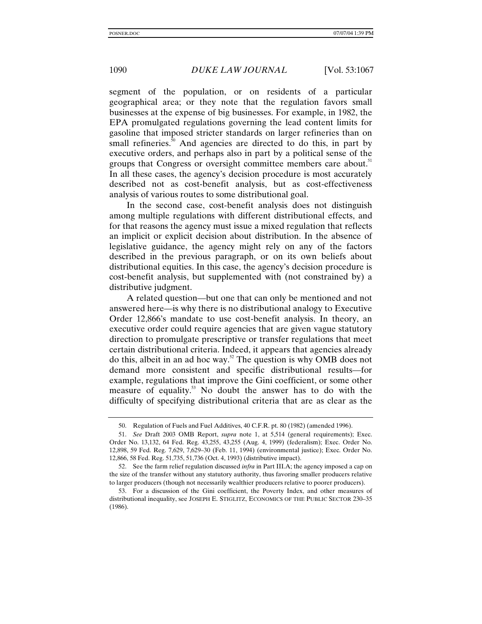segment of the population, or on residents of a particular geographical area; or they note that the regulation favors small businesses at the expense of big businesses. For example, in 1982, the EPA promulgated regulations governing the lead content limits for gasoline that imposed stricter standards on larger refineries than on small refineries. $\frac{50}{10}$  And agencies are directed to do this, in part by executive orders, and perhaps also in part by a political sense of the groups that Congress or oversight committee members care about.<sup>51</sup> In all these cases, the agency's decision procedure is most accurately described not as cost-benefit analysis, but as cost-effectiveness analysis of various routes to some distributional goal.

In the second case, cost-benefit analysis does not distinguish among multiple regulations with different distributional effects, and for that reasons the agency must issue a mixed regulation that reflects an implicit or explicit decision about distribution. In the absence of legislative guidance, the agency might rely on any of the factors described in the previous paragraph, or on its own beliefs about distributional equities. In this case, the agency's decision procedure is cost-benefit analysis, but supplemented with (not constrained by) a distributive judgment.

A related question—but one that can only be mentioned and not answered here—is why there is no distributional analogy to Executive Order 12,866's mandate to use cost-benefit analysis. In theory, an executive order could require agencies that are given vague statutory direction to promulgate prescriptive or transfer regulations that meet certain distributional criteria. Indeed, it appears that agencies already do this, albeit in an ad hoc way.52 The question is why OMB does not demand more consistent and specific distributional results—for example, regulations that improve the Gini coefficient, or some other measure of equality.<sup>53</sup> No doubt the answer has to do with the difficulty of specifying distributional criteria that are as clear as the

<sup>50.</sup> Regulation of Fuels and Fuel Additives, 40 C.F.R. pt. 80 (1982) (amended 1996).

<sup>51.</sup> *See* Draft 2003 OMB Report, *supra* note 1, at 5,514 (general requirements); Exec. Order No. 13,132, 64 Fed. Reg. 43,255, 43,255 (Aug. 4, 1999) (federalism); Exec. Order No. 12,898, 59 Fed. Reg. 7,629, 7,629–30 (Feb. 11, 1994) (environmental justice); Exec. Order No. 12,866, 58 Fed. Reg. 51,735, 51,736 (Oct. 4, 1993) (distributive impact).

<sup>52.</sup> See the farm relief regulation discussed *infra* in Part III.A; the agency imposed a cap on the size of the transfer without any statutory authority, thus favoring smaller producers relative to larger producers (though not necessarily wealthier producers relative to poorer producers).

<sup>53.</sup> For a discussion of the Gini coefficient, the Poverty Index, and other measures of distributional inequality, see JOSEPH E. STIGLITZ, ECONOMICS OF THE PUBLIC SECTOR 230–35 (1986).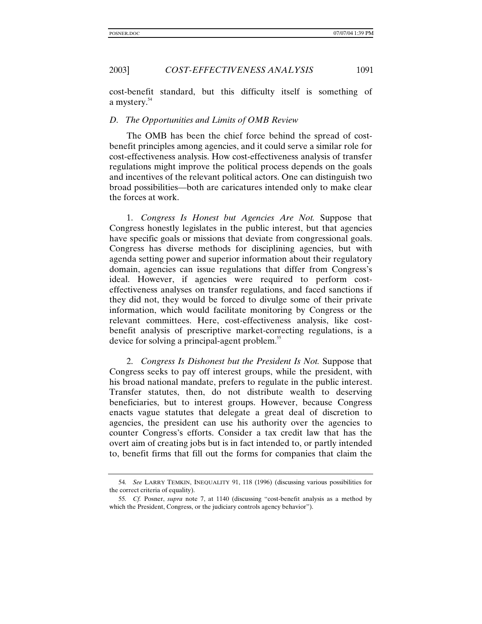2003] *COST-EFFECTIVENESS ANALYSIS* 1091

cost-benefit standard, but this difficulty itself is something of a mystery.54

#### *D. The Opportunities and Limits of OMB Review*

The OMB has been the chief force behind the spread of costbenefit principles among agencies, and it could serve a similar role for cost-effectiveness analysis. How cost-effectiveness analysis of transfer regulations might improve the political process depends on the goals and incentives of the relevant political actors. One can distinguish two broad possibilities—both are caricatures intended only to make clear the forces at work.

1. *Congress Is Honest but Agencies Are Not.* Suppose that Congress honestly legislates in the public interest, but that agencies have specific goals or missions that deviate from congressional goals. Congress has diverse methods for disciplining agencies, but with agenda setting power and superior information about their regulatory domain, agencies can issue regulations that differ from Congress's ideal. However, if agencies were required to perform costeffectiveness analyses on transfer regulations, and faced sanctions if they did not, they would be forced to divulge some of their private information, which would facilitate monitoring by Congress or the relevant committees. Here, cost-effectiveness analysis, like costbenefit analysis of prescriptive market-correcting regulations, is a device for solving a principal-agent problem.<sup>55</sup>

2. *Congress Is Dishonest but the President Is Not.* Suppose that Congress seeks to pay off interest groups, while the president, with his broad national mandate, prefers to regulate in the public interest. Transfer statutes, then, do not distribute wealth to deserving beneficiaries, but to interest groups. However, because Congress enacts vague statutes that delegate a great deal of discretion to agencies, the president can use his authority over the agencies to counter Congress's efforts. Consider a tax credit law that has the overt aim of creating jobs but is in fact intended to, or partly intended to, benefit firms that fill out the forms for companies that claim the

<sup>54</sup>*. See* LARRY TEMKIN, INEQUALITY 91, 118 (1996) (discussing various possibilities for the correct criteria of equality).

<sup>55</sup>*. Cf.* Posner, *supra* note 7, at 1140 (discussing "cost-benefit analysis as a method by which the President, Congress, or the judiciary controls agency behavior").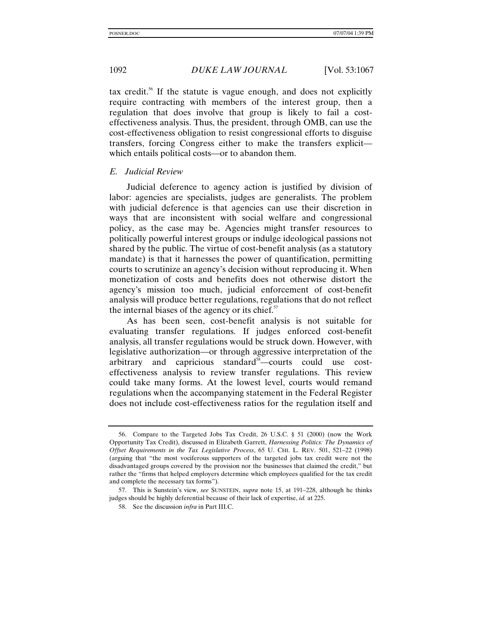tax credit.<sup>56</sup> If the statute is vague enough, and does not explicitly require contracting with members of the interest group, then a regulation that does involve that group is likely to fail a costeffectiveness analysis. Thus, the president, through OMB, can use the cost-effectiveness obligation to resist congressional efforts to disguise transfers, forcing Congress either to make the transfers explicit which entails political costs—or to abandon them.

#### *E. Judicial Review*

Judicial deference to agency action is justified by division of labor: agencies are specialists, judges are generalists. The problem with judicial deference is that agencies can use their discretion in ways that are inconsistent with social welfare and congressional policy, as the case may be. Agencies might transfer resources to politically powerful interest groups or indulge ideological passions not shared by the public. The virtue of cost-benefit analysis (as a statutory mandate) is that it harnesses the power of quantification, permitting courts to scrutinize an agency's decision without reproducing it. When monetization of costs and benefits does not otherwise distort the agency's mission too much, judicial enforcement of cost-benefit analysis will produce better regulations, regulations that do not reflect the internal biases of the agency or its chief. $57$ 

As has been seen, cost-benefit analysis is not suitable for evaluating transfer regulations. If judges enforced cost-benefit analysis, all transfer regulations would be struck down. However, with legislative authorization—or through aggressive interpretation of the arbitrary and capricious standard<sup>58</sup>—courts could use costeffectiveness analysis to review transfer regulations. This review could take many forms. At the lowest level, courts would remand regulations when the accompanying statement in the Federal Register does not include cost-effectiveness ratios for the regulation itself and

<sup>56.</sup> Compare to the Targeted Jobs Tax Credit, 26 U.S.C. § 51 (2000) (now the Work Opportunity Tax Credit), discussed in Elizabeth Garrett, *Harnessing Politics: The Dynamics of Offset Requirements in the Tax Legislative Process*, 65 U. CHI. L. REV. 501, 521–22 (1998) (arguing that "the most vociferous supporters of the targeted jobs tax credit were not the disadvantaged groups covered by the provision nor the businesses that claimed the credit," but rather the "firms that helped employers determine which employees qualified for the tax credit and complete the necessary tax forms").

<sup>57.</sup> This is Sunstein's view, *see* SUNSTEIN, *supra* note 15, at 191–228, although he thinks judges should be highly deferential because of their lack of expertise, *id.* at 225.

<sup>58.</sup> See the discussion *infra* in Part III.C.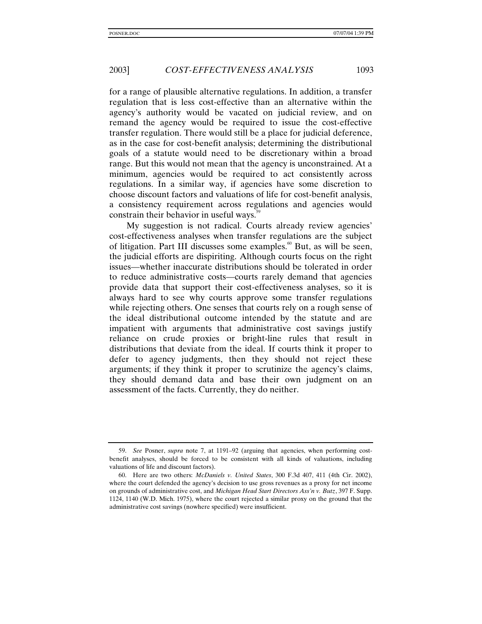for a range of plausible alternative regulations. In addition, a transfer regulation that is less cost-effective than an alternative within the agency's authority would be vacated on judicial review, and on remand the agency would be required to issue the cost-effective transfer regulation. There would still be a place for judicial deference, as in the case for cost-benefit analysis; determining the distributional goals of a statute would need to be discretionary within a broad range. But this would not mean that the agency is unconstrained. At a minimum, agencies would be required to act consistently across regulations. In a similar way, if agencies have some discretion to choose discount factors and valuations of life for cost-benefit analysis, a consistency requirement across regulations and agencies would constrain their behavior in useful ways.<sup>55</sup>

My suggestion is not radical. Courts already review agencies' cost-effectiveness analyses when transfer regulations are the subject of litigation. Part III discusses some examples.<sup>60</sup> But, as will be seen, the judicial efforts are dispiriting. Although courts focus on the right issues—whether inaccurate distributions should be tolerated in order to reduce administrative costs—courts rarely demand that agencies provide data that support their cost-effectiveness analyses, so it is always hard to see why courts approve some transfer regulations while rejecting others. One senses that courts rely on a rough sense of the ideal distributional outcome intended by the statute and are impatient with arguments that administrative cost savings justify reliance on crude proxies or bright-line rules that result in distributions that deviate from the ideal. If courts think it proper to defer to agency judgments, then they should not reject these arguments; if they think it proper to scrutinize the agency's claims, they should demand data and base their own judgment on an assessment of the facts. Currently, they do neither.

<sup>59.</sup> *See* Posner, *supra* note 7, at 1191–92 (arguing that agencies, when performing costbenefit analyses, should be forced to be consistent with all kinds of valuations, including valuations of life and discount factors).

<sup>60.</sup> Here are two others: *McDaniels v. United States*, 300 F.3d 407, 411 (4th Cir. 2002), where the court defended the agency's decision to use gross revenues as a proxy for net income on grounds of administrative cost, and *Michigan Head Start Directors Ass'n v. Butz*, 397 F. Supp. 1124, 1140 (W.D. Mich. 1975), where the court rejected a similar proxy on the ground that the administrative cost savings (nowhere specified) were insufficient.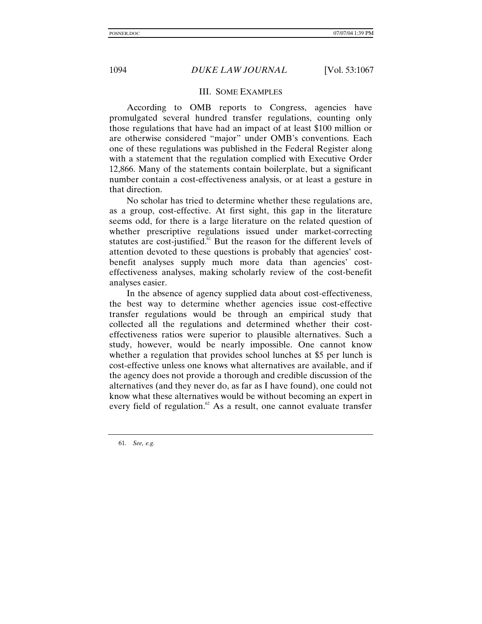# III. SOME EXAMPLES

According to OMB reports to Congress, agencies have promulgated several hundred transfer regulations, counting only those regulations that have had an impact of at least \$100 million or are otherwise considered "major" under OMB's conventions. Each one of these regulations was published in the Federal Register along with a statement that the regulation complied with Executive Order 12,866. Many of the statements contain boilerplate, but a significant number contain a cost-effectiveness analysis, or at least a gesture in that direction.

No scholar has tried to determine whether these regulations are, as a group, cost-effective. At first sight, this gap in the literature seems odd, for there is a large literature on the related question of whether prescriptive regulations issued under market-correcting statutes are cost-justified.<sup>61</sup> But the reason for the different levels of attention devoted to these questions is probably that agencies' costbenefit analyses supply much more data than agencies' costeffectiveness analyses, making scholarly review of the cost-benefit analyses easier.

In the absence of agency supplied data about cost-effectiveness, the best way to determine whether agencies issue cost-effective transfer regulations would be through an empirical study that collected all the regulations and determined whether their costeffectiveness ratios were superior to plausible alternatives. Such a study, however, would be nearly impossible. One cannot know whether a regulation that provides school lunches at \$5 per lunch is cost-effective unless one knows what alternatives are available, and if the agency does not provide a thorough and credible discussion of the alternatives (and they never do, as far as I have found), one could not know what these alternatives would be without becoming an expert in every field of regulation. $62$  As a result, one cannot evaluate transfer

61*. See, e.g.*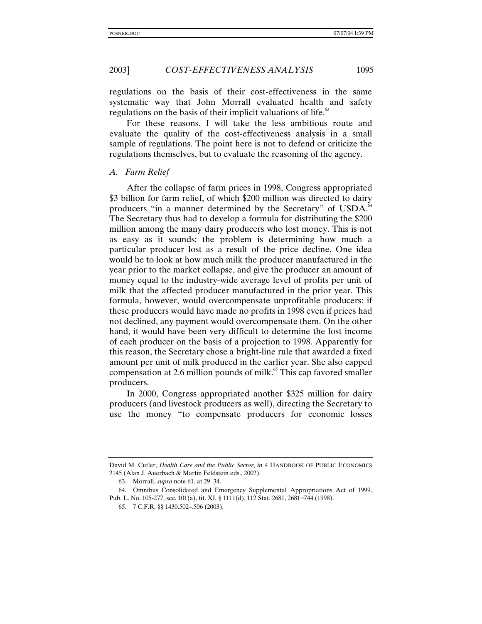regulations on the basis of their cost-effectiveness in the same systematic way that John Morrall evaluated health and safety regulations on the basis of their implicit valuations of life.<sup>63</sup>

For these reasons, I will take the less ambitious route and evaluate the quality of the cost-effectiveness analysis in a small sample of regulations. The point here is not to defend or criticize the regulations themselves, but to evaluate the reasoning of the agency.

#### *A. Farm Relief*

After the collapse of farm prices in 1998, Congress appropriated \$3 billion for farm relief, of which \$200 million was directed to dairy producers "in a manner determined by the Secretary" of USDA.<sup>64</sup> The Secretary thus had to develop a formula for distributing the \$200 million among the many dairy producers who lost money. This is not as easy as it sounds: the problem is determining how much a particular producer lost as a result of the price decline. One idea would be to look at how much milk the producer manufactured in the year prior to the market collapse, and give the producer an amount of money equal to the industry-wide average level of profits per unit of milk that the affected producer manufactured in the prior year. This formula, however, would overcompensate unprofitable producers: if these producers would have made no profits in 1998 even if prices had not declined, any payment would overcompensate them. On the other hand, it would have been very difficult to determine the lost income of each producer on the basis of a projection to 1998. Apparently for this reason, the Secretary chose a bright-line rule that awarded a fixed amount per unit of milk produced in the earlier year. She also capped compensation at 2.6 million pounds of milk.<sup>65</sup> This cap favored smaller producers.

In 2000, Congress appropriated another \$325 million for dairy producers (and livestock producers as well), directing the Secretary to use the money "to compensate producers for economic losses

David M. Cutler, *Health Care and the Public Sector*, *in* 4 HANDBOOK OF PUBLIC ECONOMICS 2145 (Alan J. Auerbach & Martin Feldstein eds., 2002).

<sup>63.</sup> Morrall, *supra* note 61, at 29–34.

<sup>64.</sup> Omnibus Consolidated and Emergency Supplemental Appropriations Act of 1999, Pub. L. No. 105-277, sec. 101(a), tit. XI, § 1111(d), 112 Stat. 2681, 2681−744 (1998).

<sup>65. 7</sup> C.F.R. §§ 1430.502–.506 (2003).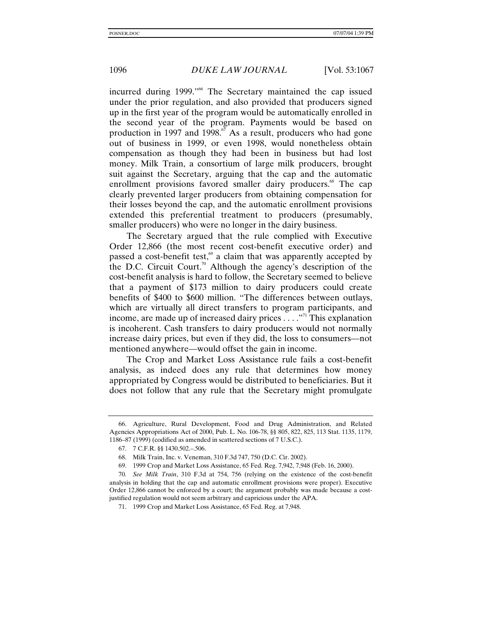incurred during 1999."<sup>66</sup> The Secretary maintained the cap issued under the prior regulation, and also provided that producers signed up in the first year of the program would be automatically enrolled in the second year of the program. Payments would be based on production in 1997 and 1998. $\frac{5}{6}$  As a result, producers who had gone out of business in 1999, or even 1998, would nonetheless obtain compensation as though they had been in business but had lost money. Milk Train, a consortium of large milk producers, brought suit against the Secretary, arguing that the cap and the automatic enrollment provisions favored smaller dairy producers.<sup>68</sup> The cap clearly prevented larger producers from obtaining compensation for their losses beyond the cap, and the automatic enrollment provisions extended this preferential treatment to producers (presumably, smaller producers) who were no longer in the dairy business.

The Secretary argued that the rule complied with Executive Order 12,866 (the most recent cost-benefit executive order) and passed a cost-benefit test, $\frac{69}{9}$  a claim that was apparently accepted by the D.C. Circuit Court.<sup>70</sup> Although the agency's description of the cost-benefit analysis is hard to follow, the Secretary seemed to believe that a payment of \$173 million to dairy producers could create benefits of \$400 to \$600 million. "The differences between outlays, which are virtually all direct transfers to program participants, and income, are made up of increased dairy prices  $\dots$ ."<sup>71</sup> This explanation is incoherent. Cash transfers to dairy producers would not normally increase dairy prices, but even if they did, the loss to consumers—not mentioned anywhere—would offset the gain in income.

The Crop and Market Loss Assistance rule fails a cost-benefit analysis, as indeed does any rule that determines how money appropriated by Congress would be distributed to beneficiaries. But it does not follow that any rule that the Secretary might promulgate

<sup>66.</sup> Agriculture, Rural Development, Food and Drug Administration, and Related Agencies Appropriations Act of 2000, Pub. L. No. 106-78, §§ 805, 822, 825, 113 Stat. 1135, 1179, 1186–87 (1999) (codified as amended in scattered sections of 7 U.S.C.).

<sup>67. 7</sup> C.F.R. §§ 1430.502.–.506.

<sup>68.</sup> Milk Train, Inc. v. Veneman, 310 F.3d 747, 750 (D.C. Cir. 2002).

<sup>69. 1999</sup> Crop and Market Loss Assistance, 65 Fed. Reg. 7,942, 7,948 (Feb. 16, 2000).

<sup>70</sup>*. See Milk Train*, 310 F.3d at 754, 756 (relying on the existence of the cost-benefit analysis in holding that the cap and automatic enrollment provisions were proper). Executive Order 12,866 cannot be enforced by a court; the argument probably was made because a costjustified regulation would not seem arbitrary and capricious under the APA.

<sup>71. 1999</sup> Crop and Market Loss Assistance, 65 Fed. Reg. at 7,948.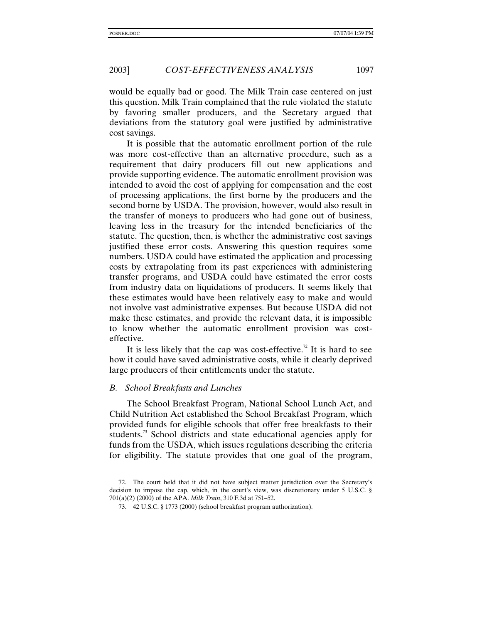would be equally bad or good. The Milk Train case centered on just this question. Milk Train complained that the rule violated the statute by favoring smaller producers, and the Secretary argued that deviations from the statutory goal were justified by administrative cost savings.

It is possible that the automatic enrollment portion of the rule was more cost-effective than an alternative procedure, such as a requirement that dairy producers fill out new applications and provide supporting evidence. The automatic enrollment provision was intended to avoid the cost of applying for compensation and the cost of processing applications, the first borne by the producers and the second borne by USDA. The provision, however, would also result in the transfer of moneys to producers who had gone out of business, leaving less in the treasury for the intended beneficiaries of the statute. The question, then, is whether the administrative cost savings justified these error costs. Answering this question requires some numbers. USDA could have estimated the application and processing costs by extrapolating from its past experiences with administering transfer programs, and USDA could have estimated the error costs from industry data on liquidations of producers. It seems likely that these estimates would have been relatively easy to make and would not involve vast administrative expenses. But because USDA did not make these estimates, and provide the relevant data, it is impossible to know whether the automatic enrollment provision was costeffective.

It is less likely that the cap was cost-effective.<sup>72</sup> It is hard to see how it could have saved administrative costs, while it clearly deprived large producers of their entitlements under the statute.

#### *B. School Breakfasts and Lunches*

The School Breakfast Program, National School Lunch Act, and Child Nutrition Act established the School Breakfast Program, which provided funds for eligible schools that offer free breakfasts to their students.<sup>73</sup> School districts and state educational agencies apply for funds from the USDA, which issues regulations describing the criteria for eligibility. The statute provides that one goal of the program,

<sup>72.</sup> The court held that it did not have subject matter jurisdiction over the Secretary's decision to impose the cap, which, in the court's view, was discretionary under 5 U.S.C. § 701(a)(2) (2000) of the APA. *Milk Train*, 310 F.3d at 751–52.

<sup>73. 42</sup> U.S.C. § 1773 (2000) (school breakfast program authorization).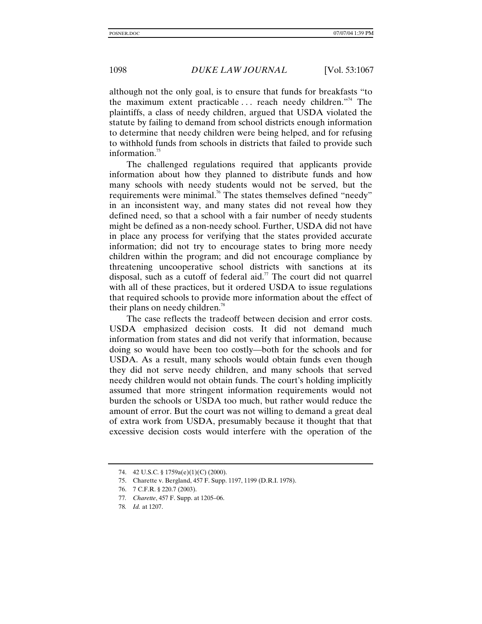although not the only goal, is to ensure that funds for breakfasts "to the maximum extent practicable  $\ldots$  reach needy children."<sup>4</sup> The plaintiffs, a class of needy children, argued that USDA violated the statute by failing to demand from school districts enough information to determine that needy children were being helped, and for refusing to withhold funds from schools in districts that failed to provide such information.<sup>75</sup>

The challenged regulations required that applicants provide information about how they planned to distribute funds and how many schools with needy students would not be served, but the requirements were minimal.<sup>76</sup> The states themselves defined "needy" in an inconsistent way, and many states did not reveal how they defined need, so that a school with a fair number of needy students might be defined as a non-needy school. Further, USDA did not have in place any process for verifying that the states provided accurate information; did not try to encourage states to bring more needy children within the program; and did not encourage compliance by threatening uncooperative school districts with sanctions at its disposal, such as a cutoff of federal aid.<sup>77</sup> The court did not quarrel with all of these practices, but it ordered USDA to issue regulations that required schools to provide more information about the effect of their plans on needy children.<sup>78</sup>

The case reflects the tradeoff between decision and error costs. USDA emphasized decision costs. It did not demand much information from states and did not verify that information, because doing so would have been too costly—both for the schools and for USDA. As a result, many schools would obtain funds even though they did not serve needy children, and many schools that served needy children would not obtain funds. The court's holding implicitly assumed that more stringent information requirements would not burden the schools or USDA too much, but rather would reduce the amount of error. But the court was not willing to demand a great deal of extra work from USDA, presumably because it thought that that excessive decision costs would interfere with the operation of the

77*. Charette*, 457 F. Supp. at 1205–06.

<sup>74. 42</sup> U.S.C. § 1759a(e)(1)(C) (2000).

<sup>75.</sup> Charette v. Bergland, 457 F. Supp. 1197, 1199 (D.R.I. 1978).

<sup>76. 7</sup> C.F.R. § 220.7 (2003).

<sup>78</sup>*. Id.* at 1207.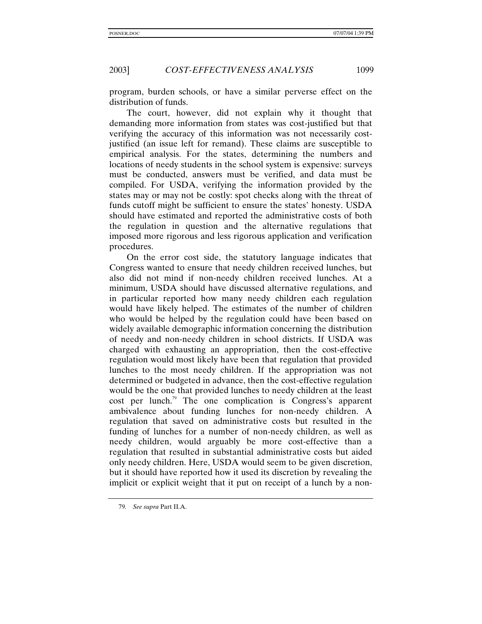program, burden schools, or have a similar perverse effect on the distribution of funds.

The court, however, did not explain why it thought that demanding more information from states was cost-justified but that verifying the accuracy of this information was not necessarily costjustified (an issue left for remand). These claims are susceptible to empirical analysis. For the states, determining the numbers and locations of needy students in the school system is expensive: surveys must be conducted, answers must be verified, and data must be compiled. For USDA, verifying the information provided by the states may or may not be costly: spot checks along with the threat of funds cutoff might be sufficient to ensure the states' honesty. USDA should have estimated and reported the administrative costs of both the regulation in question and the alternative regulations that imposed more rigorous and less rigorous application and verification procedures.

On the error cost side, the statutory language indicates that Congress wanted to ensure that needy children received lunches, but also did not mind if non-needy children received lunches. At a minimum, USDA should have discussed alternative regulations, and in particular reported how many needy children each regulation would have likely helped. The estimates of the number of children who would be helped by the regulation could have been based on widely available demographic information concerning the distribution of needy and non-needy children in school districts. If USDA was charged with exhausting an appropriation, then the cost-effective regulation would most likely have been that regulation that provided lunches to the most needy children. If the appropriation was not determined or budgeted in advance, then the cost-effective regulation would be the one that provided lunches to needy children at the least cost per lunch.<sup>79</sup> The one complication is Congress's apparent ambivalence about funding lunches for non-needy children. A regulation that saved on administrative costs but resulted in the funding of lunches for a number of non-needy children, as well as needy children, would arguably be more cost-effective than a regulation that resulted in substantial administrative costs but aided only needy children. Here, USDA would seem to be given discretion, but it should have reported how it used its discretion by revealing the implicit or explicit weight that it put on receipt of a lunch by a non-

<sup>79</sup>*. See supra* Part II.A.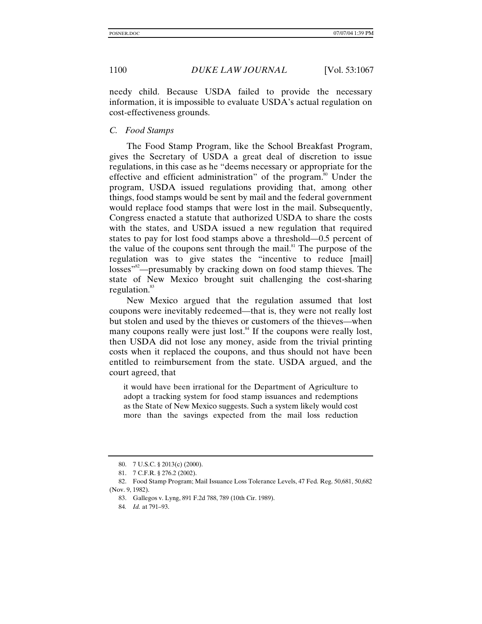needy child. Because USDA failed to provide the necessary information, it is impossible to evaluate USDA's actual regulation on cost-effectiveness grounds.

# *C. Food Stamps*

The Food Stamp Program, like the School Breakfast Program, gives the Secretary of USDA a great deal of discretion to issue regulations, in this case as he "deems necessary or appropriate for the effective and efficient administration" of the program.<sup>80</sup> Under the program, USDA issued regulations providing that, among other things, food stamps would be sent by mail and the federal government would replace food stamps that were lost in the mail. Subsequently, Congress enacted a statute that authorized USDA to share the costs with the states, and USDA issued a new regulation that required states to pay for lost food stamps above a threshold—0.5 percent of the value of the coupons sent through the mail. $\sum_{n=1}^{\infty}$  The purpose of the regulation was to give states the "incentive to reduce [mail] losses"<sup>82</sup>—presumably by cracking down on food stamp thieves. The state of New Mexico brought suit challenging the cost-sharing regulation.<sup>83</sup>

New Mexico argued that the regulation assumed that lost coupons were inevitably redeemed—that is, they were not really lost but stolen and used by the thieves or customers of the thieves—when many coupons really were just lost. $\frac{84}{11}$  If the coupons were really lost, then USDA did not lose any money, aside from the trivial printing costs when it replaced the coupons, and thus should not have been entitled to reimbursement from the state. USDA argued, and the court agreed, that

it would have been irrational for the Department of Agriculture to adopt a tracking system for food stamp issuances and redemptions as the State of New Mexico suggests. Such a system likely would cost more than the savings expected from the mail loss reduction

<sup>80. 7</sup> U.S.C. § 2013(c) (2000).

<sup>81. 7</sup> C.F.R. § 276.2 (2002).

<sup>82.</sup> Food Stamp Program; Mail Issuance Loss Tolerance Levels, 47 Fed. Reg. 50,681, 50,682 (Nov. 9, 1982).

<sup>83.</sup> Gallegos v. Lyng, 891 F.2d 788, 789 (10th Cir. 1989).

<sup>84</sup>*. Id.* at 791–93.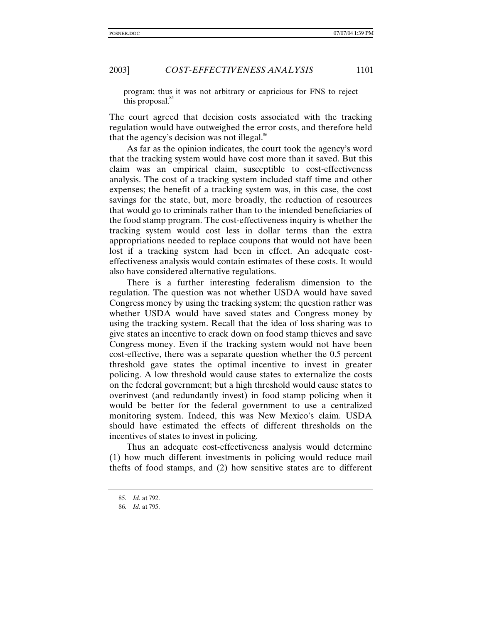program; thus it was not arbitrary or capricious for FNS to reject this proposal. $85$ 

The court agreed that decision costs associated with the tracking regulation would have outweighed the error costs, and therefore held that the agency's decision was not illegal. $\delta$ <sup>86</sup>

As far as the opinion indicates, the court took the agency's word that the tracking system would have cost more than it saved. But this claim was an empirical claim, susceptible to cost-effectiveness analysis. The cost of a tracking system included staff time and other expenses; the benefit of a tracking system was, in this case, the cost savings for the state, but, more broadly, the reduction of resources that would go to criminals rather than to the intended beneficiaries of the food stamp program. The cost-effectiveness inquiry is whether the tracking system would cost less in dollar terms than the extra appropriations needed to replace coupons that would not have been lost if a tracking system had been in effect. An adequate costeffectiveness analysis would contain estimates of these costs. It would also have considered alternative regulations.

There is a further interesting federalism dimension to the regulation. The question was not whether USDA would have saved Congress money by using the tracking system; the question rather was whether USDA would have saved states and Congress money by using the tracking system. Recall that the idea of loss sharing was to give states an incentive to crack down on food stamp thieves and save Congress money. Even if the tracking system would not have been cost-effective, there was a separate question whether the 0.5 percent threshold gave states the optimal incentive to invest in greater policing. A low threshold would cause states to externalize the costs on the federal government; but a high threshold would cause states to overinvest (and redundantly invest) in food stamp policing when it would be better for the federal government to use a centralized monitoring system. Indeed, this was New Mexico's claim. USDA should have estimated the effects of different thresholds on the incentives of states to invest in policing.

Thus an adequate cost-effectiveness analysis would determine (1) how much different investments in policing would reduce mail thefts of food stamps, and (2) how sensitive states are to different

<sup>85</sup>*. Id.* at 792.

<sup>86</sup>*. Id.* at 795.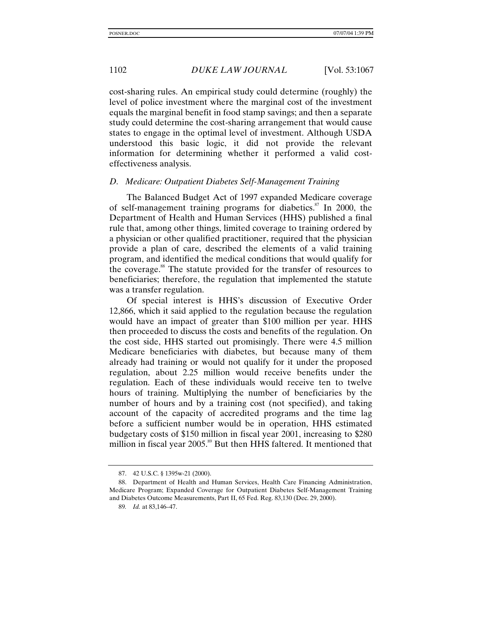cost-sharing rules. An empirical study could determine (roughly) the level of police investment where the marginal cost of the investment equals the marginal benefit in food stamp savings; and then a separate study could determine the cost-sharing arrangement that would cause states to engage in the optimal level of investment. Although USDA understood this basic logic, it did not provide the relevant information for determining whether it performed a valid costeffectiveness analysis.

#### *D. Medicare: Outpatient Diabetes Self-Management Training*

The Balanced Budget Act of 1997 expanded Medicare coverage of self-management training programs for diabetics.<sup>87</sup> In 2000, the Department of Health and Human Services (HHS) published a final rule that, among other things, limited coverage to training ordered by a physician or other qualified practitioner, required that the physician provide a plan of care, described the elements of a valid training program, and identified the medical conditions that would qualify for the coverage.88 The statute provided for the transfer of resources to beneficiaries; therefore, the regulation that implemented the statute was a transfer regulation.

Of special interest is HHS's discussion of Executive Order 12,866, which it said applied to the regulation because the regulation would have an impact of greater than \$100 million per year. HHS then proceeded to discuss the costs and benefits of the regulation. On the cost side, HHS started out promisingly. There were 4.5 million Medicare beneficiaries with diabetes, but because many of them already had training or would not qualify for it under the proposed regulation, about 2.25 million would receive benefits under the regulation. Each of these individuals would receive ten to twelve hours of training. Multiplying the number of beneficiaries by the number of hours and by a training cost (not specified), and taking account of the capacity of accredited programs and the time lag before a sufficient number would be in operation, HHS estimated budgetary costs of \$150 million in fiscal year 2001, increasing to \$280 million in fiscal year 2005.<sup>89</sup> But then HHS faltered. It mentioned that

<sup>87. 42</sup> U.S.C. § 1395w-21 (2000).

<sup>88.</sup> Department of Health and Human Services, Health Care Financing Administration, Medicare Program; Expanded Coverage for Outpatient Diabetes Self-Management Training and Diabetes Outcome Measurements, Part II, 65 Fed. Reg. 83,130 (Dec. 29, 2000).

<sup>89</sup>*. Id.* at 83,146–47.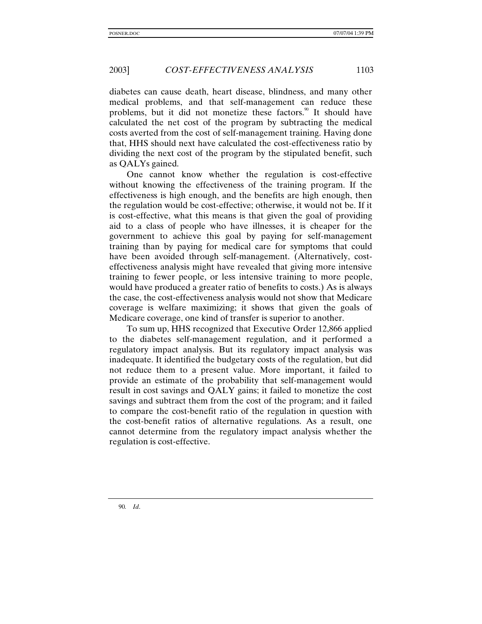diabetes can cause death, heart disease, blindness, and many other medical problems, and that self-management can reduce these problems, but it did not monetize these factors.<sup>90</sup> It should have calculated the net cost of the program by subtracting the medical costs averted from the cost of self-management training. Having done that, HHS should next have calculated the cost-effectiveness ratio by dividing the next cost of the program by the stipulated benefit, such as QALYs gained.

One cannot know whether the regulation is cost-effective without knowing the effectiveness of the training program. If the effectiveness is high enough, and the benefits are high enough, then the regulation would be cost-effective; otherwise, it would not be. If it is cost-effective, what this means is that given the goal of providing aid to a class of people who have illnesses, it is cheaper for the government to achieve this goal by paying for self-management training than by paying for medical care for symptoms that could have been avoided through self-management. (Alternatively, costeffectiveness analysis might have revealed that giving more intensive training to fewer people, or less intensive training to more people, would have produced a greater ratio of benefits to costs.) As is always the case, the cost-effectiveness analysis would not show that Medicare coverage is welfare maximizing; it shows that given the goals of Medicare coverage, one kind of transfer is superior to another.

To sum up, HHS recognized that Executive Order 12,866 applied to the diabetes self-management regulation, and it performed a regulatory impact analysis. But its regulatory impact analysis was inadequate. It identified the budgetary costs of the regulation, but did not reduce them to a present value. More important, it failed to provide an estimate of the probability that self-management would result in cost savings and QALY gains; it failed to monetize the cost savings and subtract them from the cost of the program; and it failed to compare the cost-benefit ratio of the regulation in question with the cost-benefit ratios of alternative regulations. As a result, one cannot determine from the regulatory impact analysis whether the regulation is cost-effective.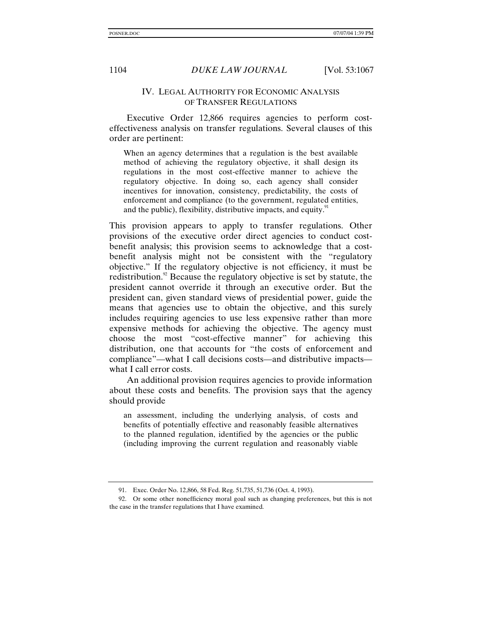# IV. LEGAL AUTHORITY FOR ECONOMIC ANALYSIS OF TRANSFER REGULATIONS

Executive Order 12,866 requires agencies to perform costeffectiveness analysis on transfer regulations. Several clauses of this order are pertinent:

When an agency determines that a regulation is the best available method of achieving the regulatory objective, it shall design its regulations in the most cost-effective manner to achieve the regulatory objective. In doing so, each agency shall consider incentives for innovation, consistency, predictability, the costs of enforcement and compliance (to the government, regulated entities, and the public), flexibility, distributive impacts, and equity. $91$ 

This provision appears to apply to transfer regulations. Other provisions of the executive order direct agencies to conduct costbenefit analysis; this provision seems to acknowledge that a costbenefit analysis might not be consistent with the "regulatory objective." If the regulatory objective is not efficiency, it must be redistribution.<sup>92</sup> Because the regulatory objective is set by statute, the president cannot override it through an executive order. But the president can, given standard views of presidential power, guide the means that agencies use to obtain the objective, and this surely includes requiring agencies to use less expensive rather than more expensive methods for achieving the objective. The agency must choose the most "cost-effective manner" for achieving this distribution, one that accounts for "the costs of enforcement and compliance"—what I call decisions costs—and distributive impacts what I call error costs.

An additional provision requires agencies to provide information about these costs and benefits. The provision says that the agency should provide

an assessment, including the underlying analysis, of costs and benefits of potentially effective and reasonably feasible alternatives to the planned regulation, identified by the agencies or the public (including improving the current regulation and reasonably viable

<sup>91.</sup> Exec. Order No. 12,866, 58 Fed. Reg. 51,735, 51,736 (Oct. 4, 1993).

<sup>92.</sup> Or some other nonefficiency moral goal such as changing preferences, but this is not the case in the transfer regulations that I have examined.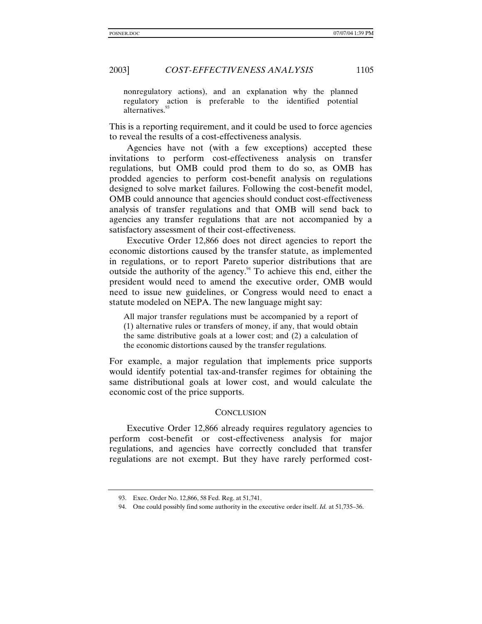nonregulatory actions), and an explanation why the planned regulatory action is preferable to the identified potential alternatives<sup>93</sup>

This is a reporting requirement, and it could be used to force agencies to reveal the results of a cost-effectiveness analysis.

Agencies have not (with a few exceptions) accepted these invitations to perform cost-effectiveness analysis on transfer regulations, but OMB could prod them to do so, as OMB has prodded agencies to perform cost-benefit analysis on regulations designed to solve market failures. Following the cost-benefit model, OMB could announce that agencies should conduct cost-effectiveness analysis of transfer regulations and that OMB will send back to agencies any transfer regulations that are not accompanied by a satisfactory assessment of their cost-effectiveness.

Executive Order 12,866 does not direct agencies to report the economic distortions caused by the transfer statute, as implemented in regulations, or to report Pareto superior distributions that are outside the authority of the agency.<sup>94</sup> To achieve this end, either the president would need to amend the executive order, OMB would need to issue new guidelines, or Congress would need to enact a statute modeled on NEPA. The new language might say:

All major transfer regulations must be accompanied by a report of (1) alternative rules or transfers of money, if any, that would obtain the same distributive goals at a lower cost; and (2) a calculation of the economic distortions caused by the transfer regulations.

For example, a major regulation that implements price supports would identify potential tax-and-transfer regimes for obtaining the same distributional goals at lower cost, and would calculate the economic cost of the price supports.

# **CONCLUSION**

Executive Order 12,866 already requires regulatory agencies to perform cost-benefit or cost-effectiveness analysis for major regulations, and agencies have correctly concluded that transfer regulations are not exempt. But they have rarely performed cost-

<sup>93.</sup> Exec. Order No. 12,866, 58 Fed. Reg. at 51,741.

<sup>94.</sup> One could possibly find some authority in the executive order itself. *Id.* at 51,735–36.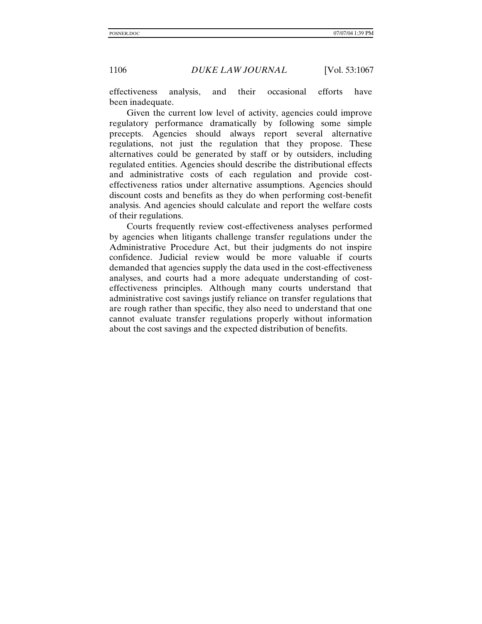effectiveness analysis, and their occasional efforts have been inadequate.

Given the current low level of activity, agencies could improve regulatory performance dramatically by following some simple precepts. Agencies should always report several alternative regulations, not just the regulation that they propose. These alternatives could be generated by staff or by outsiders, including regulated entities. Agencies should describe the distributional effects and administrative costs of each regulation and provide costeffectiveness ratios under alternative assumptions. Agencies should discount costs and benefits as they do when performing cost-benefit analysis. And agencies should calculate and report the welfare costs of their regulations.

Courts frequently review cost-effectiveness analyses performed by agencies when litigants challenge transfer regulations under the Administrative Procedure Act, but their judgments do not inspire confidence. Judicial review would be more valuable if courts demanded that agencies supply the data used in the cost-effectiveness analyses, and courts had a more adequate understanding of costeffectiveness principles. Although many courts understand that administrative cost savings justify reliance on transfer regulations that are rough rather than specific, they also need to understand that one cannot evaluate transfer regulations properly without information about the cost savings and the expected distribution of benefits.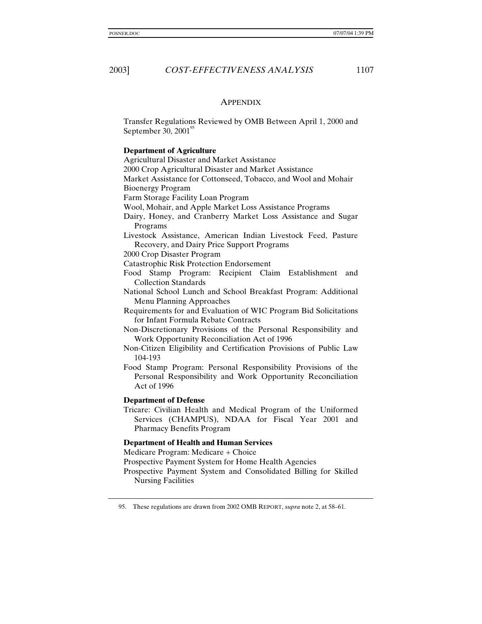# **APPENDIX**

Transfer Regulations Reviewed by OMB Between April 1, 2000 and September 30,  $2001^{\circ}$ 

#### **Department of Agriculture**

Agricultural Disaster and Market Assistance

2000 Crop Agricultural Disaster and Market Assistance

Market Assistance for Cottonseed, Tobacco, and Wool and Mohair Bioenergy Program

Farm Storage Facility Loan Program

Wool, Mohair, and Apple Market Loss Assistance Programs

- Dairy, Honey, and Cranberry Market Loss Assistance and Sugar Programs
- Livestock Assistance, American Indian Livestock Feed, Pasture Recovery, and Dairy Price Support Programs
- 2000 Crop Disaster Program

Catastrophic Risk Protection Endorsement

Food Stamp Program: Recipient Claim Establishment and Collection Standards

- National School Lunch and School Breakfast Program: Additional Menu Planning Approaches
- Requirements for and Evaluation of WIC Program Bid Solicitations for Infant Formula Rebate Contracts
- Non-Discretionary Provisions of the Personal Responsibility and Work Opportunity Reconciliation Act of 1996
- Non-Citizen Eligibility and Certification Provisions of Public Law 104-193
- Food Stamp Program: Personal Responsibility Provisions of the Personal Responsibility and Work Opportunity Reconciliation Act of 1996

#### **Department of Defense**

Tricare: Civilian Health and Medical Program of the Uniformed Services (CHAMPUS), NDAA for Fiscal Year 2001 and Pharmacy Benefits Program

#### **Department of Health and Human Services**

Medicare Program: Medicare + Choice

Prospective Payment System for Home Health Agencies

Prospective Payment System and Consolidated Billing for Skilled Nursing Facilities

<sup>95.</sup> These regulations are drawn from 2002 OMB REPORT, *supra* note 2, at 58–61.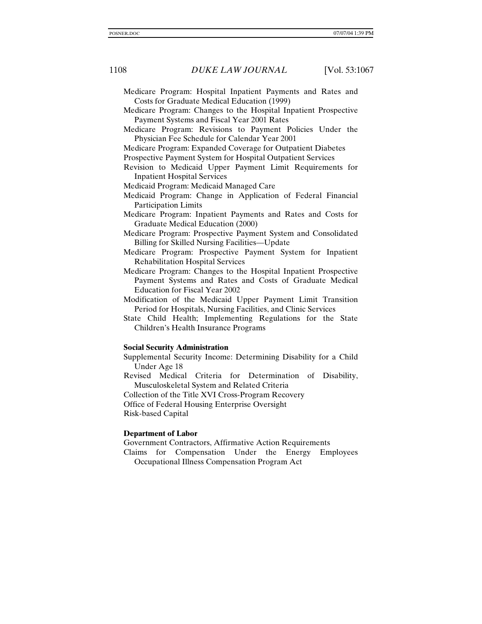- Medicare Program: Hospital Inpatient Payments and Rates and Costs for Graduate Medical Education (1999)
- Medicare Program: Changes to the Hospital Inpatient Prospective Payment Systems and Fiscal Year 2001 Rates
- Medicare Program: Revisions to Payment Policies Under the Physician Fee Schedule for Calendar Year 2001
- Medicare Program: Expanded Coverage for Outpatient Diabetes
- Prospective Payment System for Hospital Outpatient Services
- Revision to Medicaid Upper Payment Limit Requirements for Inpatient Hospital Services
- Medicaid Program: Medicaid Managed Care
- Medicaid Program: Change in Application of Federal Financial Participation Limits
- Medicare Program: Inpatient Payments and Rates and Costs for Graduate Medical Education (2000)
- Medicare Program: Prospective Payment System and Consolidated Billing for Skilled Nursing Facilities—Update
- Medicare Program: Prospective Payment System for Inpatient Rehabilitation Hospital Services
- Medicare Program: Changes to the Hospital Inpatient Prospective Payment Systems and Rates and Costs of Graduate Medical Education for Fiscal Year 2002
- Modification of the Medicaid Upper Payment Limit Transition Period for Hospitals, Nursing Facilities, and Clinic Services
- State Child Health; Implementing Regulations for the State Children's Health Insurance Programs

#### **Social Security Administration**

- Supplemental Security Income: Determining Disability for a Child Under Age 18
- Revised Medical Criteria for Determination of Disability, Musculoskeletal System and Related Criteria

Collection of the Title XVI Cross-Program Recovery

Office of Federal Housing Enterprise Oversight Risk-based Capital

#### **Department of Labor**

Government Contractors, Affirmative Action Requirements

Claims for Compensation Under the Energy Employees Occupational Illness Compensation Program Act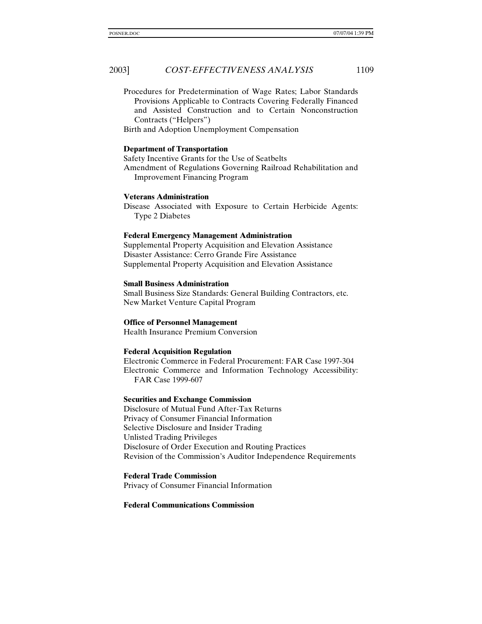Procedures for Predetermination of Wage Rates; Labor Standards Provisions Applicable to Contracts Covering Federally Financed and Assisted Construction and to Certain Nonconstruction Contracts ("Helpers")

Birth and Adoption Unemployment Compensation

#### **Department of Transportation**

Safety Incentive Grants for the Use of Seatbelts Amendment of Regulations Governing Railroad Rehabilitation and Improvement Financing Program

#### **Veterans Administration**

Disease Associated with Exposure to Certain Herbicide Agents: Type 2 Diabetes

#### **Federal Emergency Management Administration**

Supplemental Property Acquisition and Elevation Assistance Disaster Assistance: Cerro Grande Fire Assistance Supplemental Property Acquisition and Elevation Assistance

#### **Small Business Administration**

Small Business Size Standards: General Building Contractors, etc. New Market Venture Capital Program

## **Office of Personnel Management**

Health Insurance Premium Conversion

#### **Federal Acquisition Regulation**

Electronic Commerce in Federal Procurement: FAR Case 1997-304 Electronic Commerce and Information Technology Accessibility: FAR Case 1999-607

#### **Securities and Exchange Commission**

Disclosure of Mutual Fund After-Tax Returns Privacy of Consumer Financial Information Selective Disclosure and Insider Trading Unlisted Trading Privileges Disclosure of Order Execution and Routing Practices Revision of the Commission's Auditor Independence Requirements

**Federal Trade Commission** Privacy of Consumer Financial Information

#### **Federal Communications Commission**